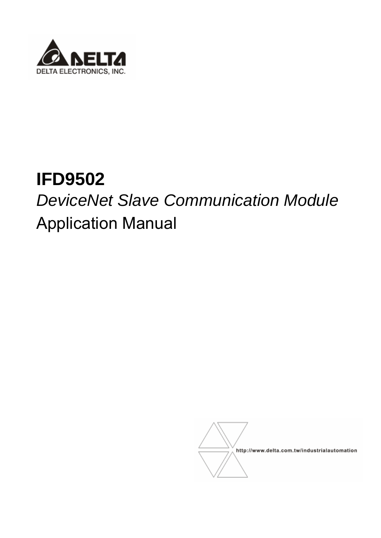

# **IFD9502**  *DeviceNet Slave Communication Module*  Application Manual

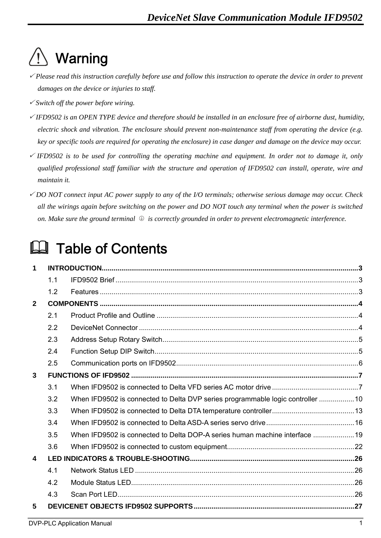## **Warning**

- <sup>3</sup> *Please read this instruction carefully before use and follow this instruction to operate the device in order to prevent damages on the device or injuries to staff.*
- <sup>3</sup> *Switch off the power before wiring.*
- <sup>3</sup> *IFD9502 is an OPEN TYPE device and therefore should be installed in an enclosure free of airborne dust, humidity, electric shock and vibration. The enclosure should prevent non-maintenance staff from operating the device (e.g. key or specific tools are required for operating the enclosure) in case danger and damage on the device may occur.*
- $\checkmark$  IFD9502 is to be used for controlling the operating machine and equipment. In order not to damage it, only *qualified professional staff familiar with the structure and operation of IFD9502 can install, operate, wire and maintain it.*
- <sup>3</sup> *DO NOT connect input AC power supply to any of the I/O terminals; otherwise serious damage may occur. Check all the wirings again before switching on the power and DO NOT touch any terminal when the power is switched on. Make sure the ground terminal*  $\bigcirc$  *is correctly grounded in order to prevent electromagnetic interference.*

## **Ed** Table of Contents

| 1                       |     |                                                                                 |  |
|-------------------------|-----|---------------------------------------------------------------------------------|--|
|                         | 1.1 |                                                                                 |  |
|                         | 1.2 |                                                                                 |  |
| $\overline{2}$          |     |                                                                                 |  |
|                         | 2.1 |                                                                                 |  |
|                         | 2.2 |                                                                                 |  |
|                         | 2.3 |                                                                                 |  |
|                         | 2.4 |                                                                                 |  |
|                         | 2.5 |                                                                                 |  |
| $\mathbf{3}$            |     |                                                                                 |  |
|                         | 3.1 |                                                                                 |  |
|                         | 3.2 | When IFD9502 is connected to Delta DVP series programmable logic controller  10 |  |
|                         | 3.3 |                                                                                 |  |
|                         | 3.4 |                                                                                 |  |
|                         | 3.5 | When IFD9502 is connected to Delta DOP-A series human machine interface  19     |  |
|                         | 3.6 |                                                                                 |  |
| $\overline{\mathbf{4}}$ |     |                                                                                 |  |
|                         | 4.1 |                                                                                 |  |
|                         | 4.2 |                                                                                 |  |
|                         | 4.3 |                                                                                 |  |
| 5                       |     |                                                                                 |  |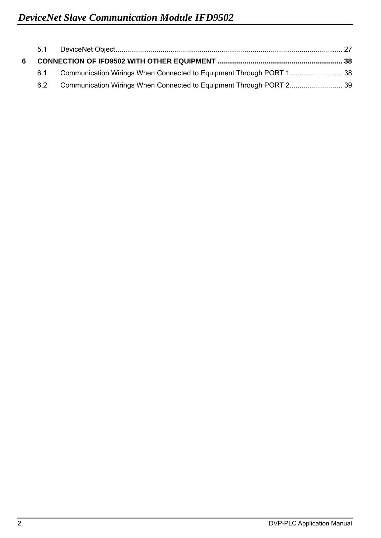| 6 |     |  |
|---|-----|--|
|   | 6.1 |  |
|   | 6.2 |  |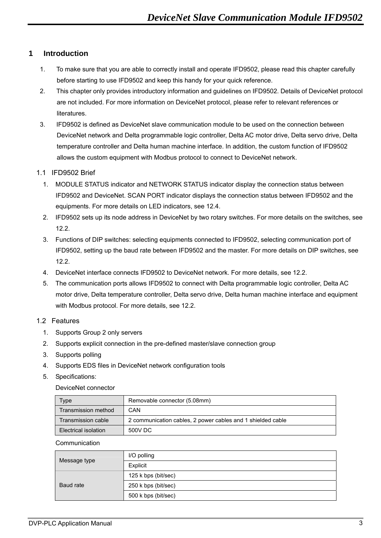## **1 Introduction**

- 1. To make sure that you are able to correctly install and operate IFD9502, please read this chapter carefully before starting to use IFD9502 and keep this handy for your quick reference.
- 2. This chapter only provides introductory information and guidelines on IFD9502. Details of DeviceNet protocol are not included. For more information on DeviceNet protocol, please refer to relevant references or literatures.
- 3. IFD9502 is defined as DeviceNet slave communication module to be used on the connection between DeviceNet network and Delta programmable logic controller, Delta AC motor drive, Delta servo drive, Delta temperature controller and Delta human machine interface. In addition, the custom function of IFD9502 allows the custom equipment with Modbus protocol to connect to DeviceNet network.

### 1.1 IFD9502 Brief

- 1. MODULE STATUS indicator and NETWORK STATUS indicator display the connection status between IFD9502 and DeviceNet. SCAN PORT indicator displays the connection status between IFD9502 and the equipments. For more details on LED indicators, see 12.4.
- 2. IFD9502 sets up its node address in DeviceNet by two rotary switches. For more details on the switches, see 12.2.
- 3. Functions of DIP switches: selecting equipments connected to IFD9502, selecting communication port of IFD9502, setting up the baud rate between IFD9502 and the master. For more details on DIP switches, see 12.2.
- 4. DeviceNet interface connects IFD9502 to DeviceNet network. For more details, see 12.2.
- 5. The communication ports allows IFD9502 to connect with Delta programmable logic controller, Delta AC motor drive, Delta temperature controller, Delta servo drive, Delta human machine interface and equipment with Modbus protocol. For more details, see 12.2.

## 1.2 Features

- 1. Supports Group 2 only servers
- 2. Supports explicit connection in the pre-defined master/slave connection group
- 3. Supports polling
- 4. Supports EDS files in DeviceNet network configuration tools
- 5. Specifications:

#### DeviceNet connector

| Type                 | Removable connector (5.08mm)                                |
|----------------------|-------------------------------------------------------------|
| Transmission method  | CAN                                                         |
| Transmission cable   | 2 communication cables, 2 power cables and 1 shielded cable |
| Electrical isolation | 500V DC                                                     |

#### **Communication**

|              | I/O polling         |
|--------------|---------------------|
| Message type | Explicit            |
|              | 125 k bps (bit/sec) |
| Baud rate    | 250 k bps (bit/sec) |
|              | 500 k bps (bit/sec) |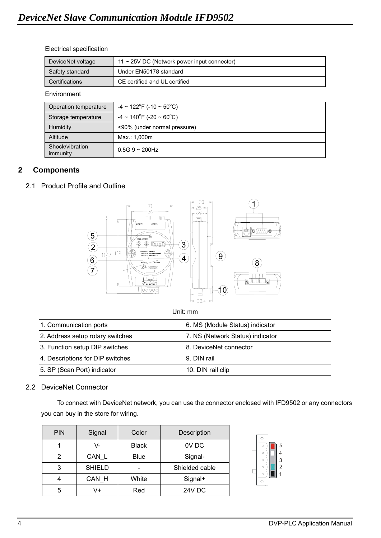#### Electrical specification

| DeviceNet voltage | $11 \sim 25$ V DC (Network power input connector) |
|-------------------|---------------------------------------------------|
| Safety standard   | Under EN50178 standard                            |
| Certifications    | CE certified and UL certified                     |

#### Environment

| Operation temperature       | $-4 \sim 122^{\circ}$ F (-10 ~ 50 $^{\circ}$ C) |
|-----------------------------|-------------------------------------------------|
| Storage temperature         | $-4 \sim 140^{\circ}$ F (-20 ~ 60 $^{\circ}$ C) |
| <b>Humidity</b>             | <90% (under normal pressure)                    |
| Altitude                    | Max.: 1,000m                                    |
| Shock/vibration<br>immunity | $0.5G$ 9 ~ 200Hz                                |

## **2 Components**

## 2.1 Product Profile and Outline



Unit: mm

| 1. Communication ports           | 6. MS (Module Status) indicator  |
|----------------------------------|----------------------------------|
| 2. Address setup rotary switches | 7. NS (Network Status) indicator |
| 3. Function setup DIP switches   | 8. DeviceNet connector           |
| 4. Descriptions for DIP switches | 9. DIN rail                      |
| 5. SP (Scan Port) indicator      | 10. DIN rail clip                |

## 2.2 DeviceNet Connector

To connect with DeviceNet network, you can use the connector enclosed with IFD9502 or any connectors you can buy in the store for wiring.

| <b>PIN</b> | Signal        | Color        | Description    |  |
|------------|---------------|--------------|----------------|--|
|            | V-            | <b>Black</b> | OV DC          |  |
| 2          | CAN L         | <b>Blue</b>  | Signal-        |  |
| 3          | <b>SHIELD</b> |              | Shielded cable |  |
| 4          | CAN H         | White        | Signal+        |  |
| 5          | V+            | Red          | 24V DC         |  |

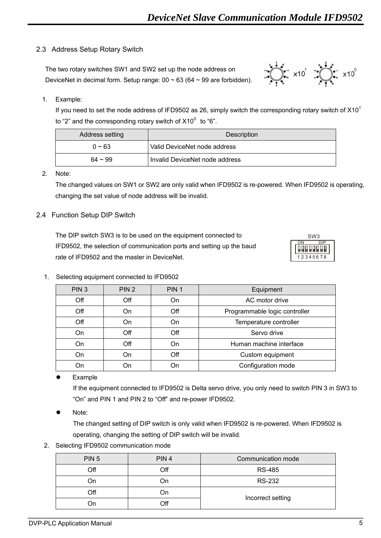## 2.3 Address Setup Rotary Switch

The two rotary switches SW1 and SW2 set up the node address on DeviceNet in decimal form. Setup range:  $00 \sim 63$  (64  $\sim 99$  are forbidden).



## 1. Example:

If you need to set the node address of IFD9502 as 26, simply switch the corresponding rotary switch of  $X10<sup>1</sup>$ to "2" and the corresponding rotary switch of  $X10^0$  to "6".

| Address setting | Description                    |  |
|-----------------|--------------------------------|--|
| $0 \sim 63$     | Valid DeviceNet node address   |  |
| $64 \sim 99$    | Invalid DeviceNet node address |  |

#### 2. Note:

The changed values on SW1 or SW2 are only valid when IFD9502 is re-powered. When IFD9502 is operating, changing the set value of node address will be invalid.

### 2.4 Function Setup DIP Switch

The DIP switch SW3 is to be used on the equipment connected to IFD9502, the selection of communication ports and setting up the baud rate of IFD9502 and the master in DeviceNet.  $\frac{1}{2}$  1234567



#### 1. Selecting equipment connected to IFD9502

| PIN <sub>3</sub> | PIN <sub>2</sub> | PIN <sub>1</sub> | Equipment                     |
|------------------|------------------|------------------|-------------------------------|
| Off              | Off              | On               | AC motor drive                |
| Off              | On               | Off              | Programmable logic controller |
| Off              | On               | On               | Temperature controller        |
| On               | Off              | Off              | Servo drive                   |
| On               | Off              | On               | Human machine interface       |
| On               | On               | Off              | Custom equipment              |
| On               |                  | On               | Configuration mode            |

Example

If the equipment connected to IFD9502 is Delta servo drive, you only need to switch PIN 3 in SW3 to "On" and PIN 1 and PIN 2 to "Off" and re-power IFD9502.

Note:

The changed setting of DIP switch is only valid when IFD9502 is re-powered. When IFD9502 is operating, changing the setting of DIP switch will be invalid.

2. Selecting IFD9502 communication mode

| PIN <sub>5</sub> | PIN <sub>4</sub> | Communication mode |
|------------------|------------------|--------------------|
| Off              | Off              | <b>RS-485</b>      |
| ۵n.              | On               | <b>RS-232</b>      |
| Off              | On               | Incorrect setting  |
| 7n               | ∩ff              |                    |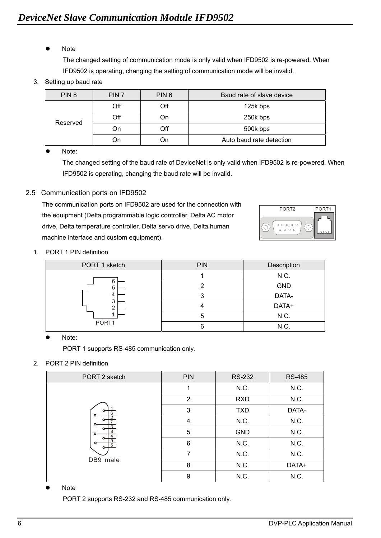Note

The changed setting of communication mode is only valid when IFD9502 is re-powered. When IFD9502 is operating, changing the setting of communication mode will be invalid.

3. Setting up baud rate

| PIN <sub>8</sub> | PIN <sub>7</sub> | PIN <sub>6</sub> | Baud rate of slave device |
|------------------|------------------|------------------|---------------------------|
|                  | Off              | Off              | 125k bps                  |
| Reserved         | $\overline{C}$   | On               | 250k bps                  |
|                  | On               | Off              | 500k bps                  |
|                  | On               | Эn               | Auto baud rate detection  |

Note:

The changed setting of the baud rate of DeviceNet is only valid when IFD9502 is re-powered. When IFD9502 is operating, changing the baud rate will be invalid.

2.5 Communication ports on IFD9502

The communication ports on IFD9502 are used for the connection with the equipment (Delta programmable logic controller, Delta AC motor drive, Delta temperature controller, Delta servo drive, Delta human machine interface and custom equipment).



1. PORT 1 PIN definition

| PORT 1 sketch    | <b>PIN</b> | Description |
|------------------|------------|-------------|
|                  |            | N.C.        |
| 6<br>5<br>4<br>3 |            | <b>GND</b>  |
|                  |            | DATA-       |
|                  |            | DATA+       |
|                  |            | N.C.        |
| PORT1            |            | N.C.        |

Note:

PORT 1 supports RS-485 communication only.

2. PORT 2 PIN definition

| PORT 2 sketch | <b>PIN</b>     | <b>RS-232</b> | <b>RS-485</b> |
|---------------|----------------|---------------|---------------|
|               |                | N.C.          | N.C.          |
|               | $\overline{2}$ | <b>RXD</b>    | N.C.          |
|               | 3              | <b>TXD</b>    | DATA-         |
|               | 4              | N.C.          | N.C.          |
|               | 5              | <b>GND</b>    | N.C.          |
|               | 6              | N.C.          | N.C.          |
| DB9 male      | 7              | N.C.          | N.C.          |
|               | 8              | N.C.          | DATA+         |
|               | 9              | N.C.          | N.C.          |

**Note** 

PORT 2 supports RS-232 and RS-485 communication only.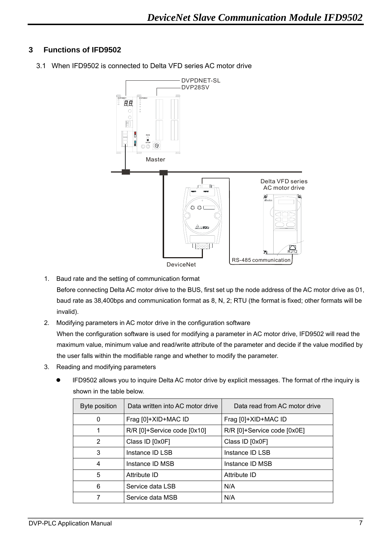## **3 Functions of IFD9502**



3.1 When IFD9502 is connected to Delta VFD series AC motor drive

1. Baud rate and the setting of communication format

Before connecting Delta AC motor drive to the BUS, first set up the node address of the AC motor drive as 01, baud rate as 38,400bps and communication format as 8, N, 2; RTU (the format is fixed; other formats will be invalid).

- 2. Modifying parameters in AC motor drive in the configuration software When the configuration software is used for modifying a parameter in AC motor drive, IFD9502 will read the maximum value, minimum value and read/write attribute of the parameter and decide if the value modified by the user falls within the modifiable range and whether to modify the parameter.
- 3. Reading and modifying parameters
	- IFD9502 allows you to inquire Delta AC motor drive by explicit messages. The format of rthe inquiry is shown in the table below.

| Byte position | Data written into AC motor drive | Data read from AC motor drive |
|---------------|----------------------------------|-------------------------------|
| 0             | Frag [0]+XID+MAC ID              | Frag [0]+XID+MAC ID           |
| 1             | R/R [0]+Service code [0x10]      | R/R [0]+Service code [0x0E]   |
| 2             | Class ID [0x0F]                  | Class ID [0x0F]               |
| 3             | Instance ID LSB                  | Instance ID LSB               |
| 4             | Instance ID MSB                  | Instance ID MSB               |
| 5             | Attribute ID                     | Attribute ID                  |
| 6             | Service data LSB                 | N/A                           |
|               | Service data MSB                 | N/A                           |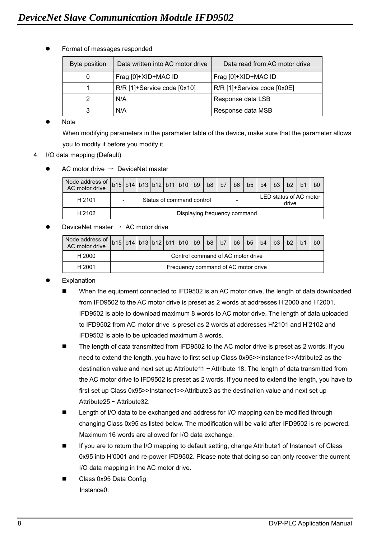| Byte position | Data written into AC motor drive | Data read from AC motor drive |
|---------------|----------------------------------|-------------------------------|
| 0             | Frag [0]+XID+MAC ID              | Frag [0]+XID+MAC ID           |
|               | R/R [1]+Service code [0x10]      | R/R [1]+Service code [0x0E]   |
|               | N/A                              | Response data LSB             |
|               | N/A                              | Response data MSB             |

Format of messages responded

**Note** 

When modifying parameters in the parameter table of the device, make sure that the parameter allows you to modify it before you modify it.

- 4. I/O data mapping (Default)
	- AC motor drive  $\rightarrow$  DeviceNet master

| Node address of<br>AC motor drive | b15 b14 b13 b12 b11 b10 b9 b8 |  |                           |  |  |  |  | b7 | b <sub>6</sub> | b <sub>5</sub> | b4                              | b3 | b2 |  | b <sub>0</sub> |
|-----------------------------------|-------------------------------|--|---------------------------|--|--|--|--|----|----------------|----------------|---------------------------------|----|----|--|----------------|
| H'2101                            | $\overline{\phantom{a}}$      |  | Status of command control |  |  |  |  |    |                |                | LED status of AC motor<br>drive |    |    |  |                |
| H'2102                            | Displaying frequency command  |  |                           |  |  |  |  |    |                |                |                                 |    |    |  |                |

### DeviceNet master  $\rightarrow$  AC motor drive

| Node address of $\left  \text{b15} \right  \left  \text{b14} \right  \left  \text{b12} \right  \left  \text{b11} \right  \left  \text{b10} \right  \left  \text{b8} \right  \left  \text{b7} \right $ |                                     |  |  |  |  |  |  |  | b6 | b <sub>5</sub> | b4 | b3 | b2 |  | b0 |
|-------------------------------------------------------------------------------------------------------------------------------------------------------------------------------------------------------|-------------------------------------|--|--|--|--|--|--|--|----|----------------|----|----|----|--|----|
| H'2000                                                                                                                                                                                                | Control command of AC motor drive   |  |  |  |  |  |  |  |    |                |    |    |    |  |    |
| H'2001                                                                                                                                                                                                | Frequency command of AC motor drive |  |  |  |  |  |  |  |    |                |    |    |    |  |    |

- Explanation
	- When the equipment connected to IFD9502 is an AC motor drive, the length of data downloaded from IFD9502 to the AC motor drive is preset as 2 words at addresses H'2000 and H'2001. IFD9502 is able to download maximum 8 words to AC motor drive. The length of data uploaded to IFD9502 from AC motor drive is preset as 2 words at addresses H'2101 and H'2102 and IFD9502 is able to be uploaded maximum 8 words.
	- The length of data transmitted from IFD9502 to the AC motor drive is preset as 2 words. If you need to extend the length, you have to first set up Class 0x95>>Instance1>>Attribute2 as the destination value and next set up Attribute11  $\sim$  Attribute 18. The length of data transmitted from the AC motor drive to IFD9502 is preset as 2 words. If you need to extend the length, you have to first set up Class 0x95>>Instance1>>Attribute3 as the destination value and next set up Attribute25 ~ Attribute32.
	- Length of I/O data to be exchanged and address for I/O mapping can be modified through changing Class 0x95 as listed below. The modification will be valid after IFD9502 is re-powered. Maximum 16 words are allowed for I/O data exchange.
	- If you are to return the I/O mapping to default setting, change Attribute1 of Instance1 of Class 0x95 into H'0001 and re-power IFD9502. Please note that doing so can only recover the current I/O data mapping in the AC motor drive.
	- Class 0x95 Data Config Instance0: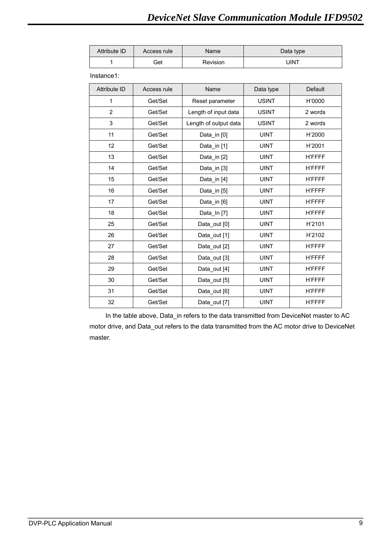| Attribute ID        | Access rule | Name                  |              | Data type      |
|---------------------|-------------|-----------------------|--------------|----------------|
| 1                   | Get         | Revision              |              | <b>UINT</b>    |
| Instance1:          |             |                       |              |                |
| <b>Attribute ID</b> | Access rule | Name                  | Data type    | <b>Default</b> |
| 1                   | Get/Set     | Reset parameter       | <b>USINT</b> | H'0000         |
| $\overline{2}$      | Get/Set     | Length of input data  | <b>USINT</b> | 2 words        |
| 3                   | Get/Set     | Length of output data | <b>USINT</b> | 2 words        |
| 11                  | Get/Set     | Data in [0]           | <b>UINT</b>  | H'2000         |
| 12                  | Get/Set     | Data_in [1]           | <b>UINT</b>  | H'2001         |
| 13                  | Get/Set     | Data_in [2]           | <b>UINT</b>  | <b>H'FFFF</b>  |
| 14                  | Get/Set     | Data_in [3]           | <b>UINT</b>  | <b>H'FFFF</b>  |
| 15                  | Get/Set     | Data_in [4]           | <b>UINT</b>  | <b>H'FFFF</b>  |
| 16                  | Get/Set     | Data_in [5]           | <b>UINT</b>  | <b>H'FFFF</b>  |
| 17                  | Get/Set     | Data_in [6]           | <b>UINT</b>  | <b>H'FFFF</b>  |
| 18                  | Get/Set     | Data_In [7]           | <b>UINT</b>  | <b>H'FFFF</b>  |
| 25                  | Get/Set     | Data out [0]          | <b>UINT</b>  | H'2101         |
| 26                  | Get/Set     | Data_out [1]          | <b>UINT</b>  | H'2102         |
| 27                  | Get/Set     | Data_out [2]          | <b>UINT</b>  | <b>H'FFFF</b>  |
| 28                  | Get/Set     | Data out [3]          | <b>UINT</b>  | <b>H'FFFF</b>  |
| 29                  | Get/Set     | Data_out [4]          | <b>UINT</b>  | <b>H'FFFF</b>  |
| 30                  | Get/Set     | Data_out [5]          | <b>UINT</b>  | <b>H'FFFF</b>  |
| 31                  | Get/Set     | Data out [6]          | <b>UINT</b>  | <b>H'FFFF</b>  |
| 32                  | Get/Set     | Data out [7]          | <b>UINT</b>  | <b>H'FFFF</b>  |

In the table above, Data\_in refers to the data transmitted from DeviceNet master to AC motor drive, and Data\_out refers to the data transmitted from the AC motor drive to DeviceNet master.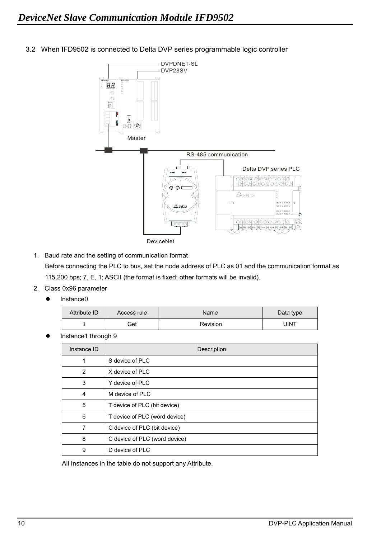

3.2 When IFD9502 is connected to Delta DVP series programmable logic controller

- 1. Baud rate and the setting of communication format Before connecting the PLC to bus, set the node address of PLC as 01 and the communication format as 115,200 bps; 7, E, 1; ASCII (the format is fixed; other formats will be invalid).
- 2. Class 0x96 parameter
	- $\bullet$  Instance0

| Attribute ID | Access rule | Name     | Data type |
|--------------|-------------|----------|-----------|
|              | Get         | Revision | JINT      |

Instance1 through 9

| Instance ID | Description                   |
|-------------|-------------------------------|
| 1           | S device of PLC               |
| 2           | X device of PLC               |
| 3           | Y device of PLC               |
| 4           | M device of PLC               |
| 5           | T device of PLC (bit device)  |
| 6           | T device of PLC (word device) |
| 7           | C device of PLC (bit device)  |
| 8           | C device of PLC (word device) |
| 9           | D device of PLC               |

All Instances in the table do not support any Attribute.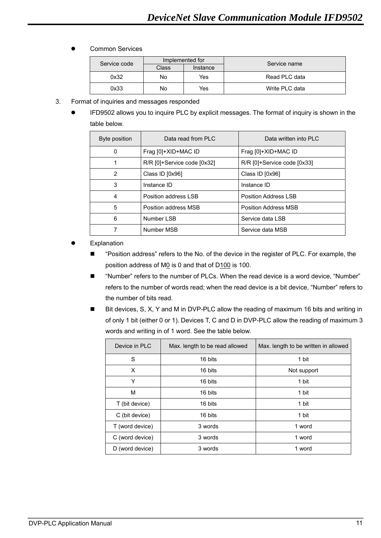| Service code |       | Implemented for | Service name   |
|--------------|-------|-----------------|----------------|
|              | Class | Instance        |                |
| 0x32         | No.   | Yes             | Read PLC data  |
| 0x33         | No    | Yes             | Write PLC data |

- 3. Format of inquiries and messages responded
	- IFD9502 allows you to inquire PLC by explicit messages. The format of inquiry is shown in the table below.

| Byte position | Data read from PLC          | Data written into PLC       |
|---------------|-----------------------------|-----------------------------|
| 0             | Frag [0]+XID+MAC ID         | Frag [0]+XID+MAC ID         |
|               | R/R [0]+Service code [0x32] | R/R [0]+Service code [0x33] |
| 2             | Class ID [0x96]             | Class ID [0x96]             |
| 3             | Instance ID                 | Instance ID                 |
| 4             | Position address LSB        | Position Address LSB        |
| 5             | Position address MSB        | Position Address MSB        |
| 6             | Number LSB                  | Service data LSB            |
| 7             | Number MSB                  | Service data MSB            |

- Explanation
	- "Position address" refers to the No. of the device in the register of PLC. For example, the position address of M0 is 0 and that of D100 is 100.
	- "Number" refers to the number of PLCs. When the read device is a word device, "Number" refers to the number of words read; when the read device is a bit device, "Number" refers to the number of bits read.
	- Bit devices, S, X, Y and M in DVP-PLC allow the reading of maximum 16 bits and writing in of only 1 bit (either 0 or 1). Devices T, C and D in DVP-PLC allow the reading of maximum 3 words and writing in of 1 word. See the table below.

| Device in PLC   | Max. length to be read allowed | Max. length to be written in allowed |
|-----------------|--------------------------------|--------------------------------------|
| S               | 16 bits                        | 1 bit                                |
| X               | 16 bits                        | Not support                          |
| Υ               | 16 bits                        | 1 bit                                |
| M               | 16 bits                        | 1 bit                                |
| T (bit device)  | 16 bits                        | 1 bit                                |
| C (bit device)  | 16 bits                        | 1 bit                                |
| T (word device) | 3 words                        | 1 word                               |
| C (word device) | 3 words                        | 1 word                               |
| D (word device) | 3 words                        | 1 word                               |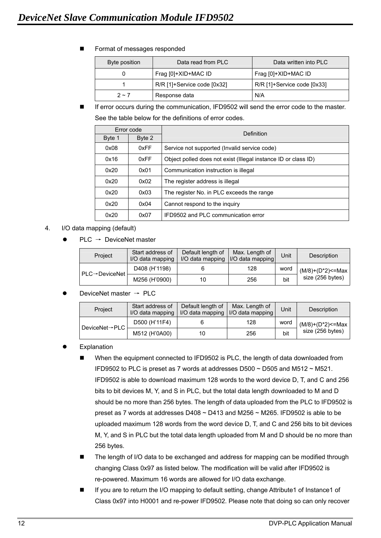**Format of messages responded** 

| Byte position | Data read from PLC          | Data written into PLC       |
|---------------|-----------------------------|-----------------------------|
| 0             | Frag [0]+XID+MAC ID         | Frag [0]+XID+MAC ID         |
|               | R/R [1]+Service code [0x32] | R/R [1]+Service code [0x33] |
| $2 \sim 7$    | Response data               | N/A                         |

 If error occurs during the communication, IFD9502 will send the error code to the master. See the table below for the definitions of error codes.

|        | Error code | Definition                                                     |
|--------|------------|----------------------------------------------------------------|
| Byte 1 | Byte 2     |                                                                |
| 0x08   | 0xFF       | Service not supported (Invalid service code)                   |
| 0x16   | 0xFF       | Object polled does not exist (Illegal instance ID or class ID) |
| 0x20   | 0x01       | Communication instruction is illegal                           |
| 0x20   | 0x02       | The register address is illegal                                |
| 0x20   | 0x03       | The register No. in PLC exceeds the range                      |
| 0x20   | 0x04       | Cannot respond to the inquiry                                  |
| 0x20   | 0x07       | IFD9502 and PLC communication error                            |

- 4. I/O data mapping (default)
	- $PLC \rightarrow$  DeviceNet master

| Project                     | Start address of<br>I/O data mapping | Default length of<br>I/O data mapping | Max. Length of<br><b>I/O data mapping</b> | Unit | Description           |
|-----------------------------|--------------------------------------|---------------------------------------|-------------------------------------------|------|-----------------------|
| $PLC \rightarrow DeviceNet$ | D408 (H'1198)                        |                                       | 128                                       | word | $(M/8)+(D^*2)$ <= Max |
|                             | M256 (H'0900)                        | 10                                    | 256                                       | bit  | size (256 bytes)      |

DeviceNet master  $\rightarrow$  PLC

| Project                     | Start address of<br>I/O data mapping | Default length of | Max. Length of<br>I/O data mapping   I/O data mapping | Unit | Description           |
|-----------------------------|--------------------------------------|-------------------|-------------------------------------------------------|------|-----------------------|
| DeviceNet $\rightarrow$ PLC | D500 (H'11F4)                        |                   | 128                                                   | word | $(M/8)+(D^*2)$ <= Max |
|                             | M512 (H'0A00)                        | 10                | 256                                                   | bit  | size (256 bytes)      |

- Explanation
	- When the equipment connected to IFD9502 is PLC, the length of data downloaded from IFD9502 to PLC is preset as 7 words at addresses D500 ~ D505 and M512 ~ M521. IFD9502 is able to download maximum 128 words to the word device D, T, and C and 256 bits to bit devices M, Y, and S in PLC, but the total data length downloaded to M and D should be no more than 256 bytes. The length of data uploaded from the PLC to IFD9502 is preset as 7 words at addresses D408 ~ D413 and M256 ~ M265. IFD9502 is able to be uploaded maximum 128 words from the word device D, T, and C and 256 bits to bit devices M, Y, and S in PLC but the total data length uploaded from M and D should be no more than 256 bytes.
	- The length of I/O data to be exchanged and address for mapping can be modified through changing Class 0x97 as listed below. The modification will be valid after IFD9502 is re-powered. Maximum 16 words are allowed for I/O data exchange.
	- If you are to return the I/O mapping to default setting, change Attribute1 of Instance1 of Class 0x97 into H0001 and re-power IFD9502. Please note that doing so can only recover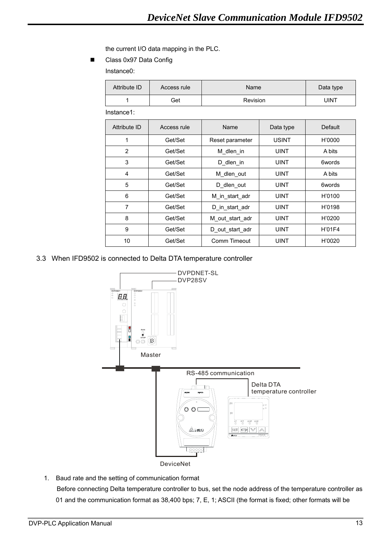the current I/O data mapping in the PLC.

Class 0x97 Data Config

Instance0:

| Attribute ID | Access rule | Name     | Data type |
|--------------|-------------|----------|-----------|
|              | Get         | Revision | UINT      |
| Instance1:   |             |          |           |

| Attribute ID | Access rule | Name            | Data type    | Default       |
|--------------|-------------|-----------------|--------------|---------------|
| 1            | Get/Set     | Reset parameter | <b>USINT</b> | H'0000        |
| 2            | Get/Set     | M dlen in       | <b>UINT</b>  | A bits        |
| 3            | Get/Set     | D dlen in       | <b>UINT</b>  | 6words        |
| 4            | Get/Set     | M dlen out      | <b>UINT</b>  | A bits        |
| 5            | Get/Set     | D_dlen_out      | <b>UINT</b>  | 6words        |
| 6            | Get/Set     | M in start adr  | <b>UINT</b>  | H'0100        |
| 7            | Get/Set     | D in start adr  | <b>UINT</b>  | H'0198        |
| 8            | Get/Set     | M out start adr | <b>UINT</b>  | H'0200        |
| 9            | Get/Set     | D out start adr | <b>UINT</b>  | <b>H'01F4</b> |
| 10           | Get/Set     | Comm Timeout    | <b>UINT</b>  | H'0020        |

3.3 When IFD9502 is connected to Delta DTA temperature controller



1. Baud rate and the setting of communication format

Before connecting Delta temperature controller to bus, set the node address of the temperature controller as 01 and the communication format as 38,400 bps; 7, E, 1; ASCII (the format is fixed; other formats will be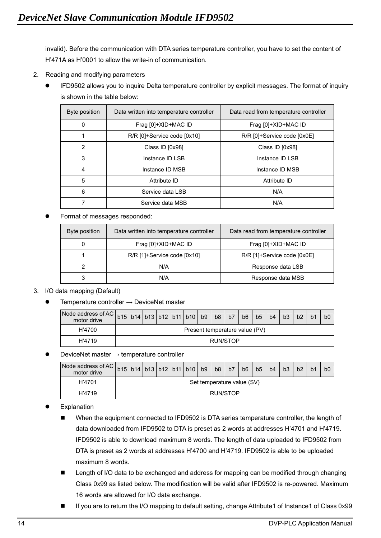invalid). Before the communication with DTA series temperature controller, you have to set the content of H'471A as H'0001 to allow the write-in of communication.

- 2. Reading and modifying parameters
	- IFD9502 allows you to inquire Delta temperature controller by explicit messages. The format of inquiry is shown in the table below:

| Byte position | Data written into temperature controller | Data read from temperature controller |  |  |  |
|---------------|------------------------------------------|---------------------------------------|--|--|--|
| 0             | Frag [0]+XID+MAC ID                      | Frag [0]+XID+MAC ID                   |  |  |  |
| 1             | R/R [0]+Service code [0x10]              | R/R [0]+Service code [0x0E]           |  |  |  |
| 2             | Class ID [0x98]                          | Class ID [0x98]                       |  |  |  |
| 3             | Instance ID LSB                          | Instance ID LSB                       |  |  |  |
| 4             | Instance ID MSB                          | Instance ID MSB                       |  |  |  |
| 5             | Attribute ID                             | Attribute ID                          |  |  |  |
| 6             | Service data LSB                         | N/A                                   |  |  |  |
| 7             | Service data MSB                         | N/A                                   |  |  |  |

Format of messages responded:

| Byte position | Data written into temperature controller | Data read from temperature controller |
|---------------|------------------------------------------|---------------------------------------|
| 0             | Frag [0]+XID+MAC ID                      | Frag [0]+XID+MAC ID                   |
|               | R/R [1]+Service code [0x10]              | R/R [1]+Service code [0x0E]           |
| 2             | N/A                                      | Response data LSB                     |
| 3             | N/A                                      | Response data MSB                     |

## 3. I/O data mapping (Default)

Temperature controller  $\rightarrow$  DeviceNet master

| Node address of AC $\vert$ b15 $\vert$ b14 $\vert$ b13 $\vert$ b12 $\vert$ b11 $\vert$ b10 $\vert$ b9 $\vert$ b8 $\vert$ b7 $\prime$<br>motor drive |  |  |                                |  |          | b <sub>6</sub> | b <sub>5</sub> | b4 | b <sub>3</sub> | b2 | b0 |
|-----------------------------------------------------------------------------------------------------------------------------------------------------|--|--|--------------------------------|--|----------|----------------|----------------|----|----------------|----|----|
| H'4700                                                                                                                                              |  |  | Present temperature value (PV) |  |          |                |                |    |                |    |    |
| H'4719                                                                                                                                              |  |  |                                |  | RUN/STOP |                |                |    |                |    |    |

## DeviceNet master  $\rightarrow$  temperature controller

| Node address of AC   b15   b14   b13   b12   b11   b10   b9   b8   b7<br>motor drive |                            |  |  |  |  |  |  |          | b6 | b <sub>5</sub> | b4 | b <sub>3</sub> | b2 |  | b <sub>0</sub> |
|--------------------------------------------------------------------------------------|----------------------------|--|--|--|--|--|--|----------|----|----------------|----|----------------|----|--|----------------|
| H'4701                                                                               | Set temperature value (SV) |  |  |  |  |  |  |          |    |                |    |                |    |  |                |
| H'4719                                                                               |                            |  |  |  |  |  |  | RUN/STOP |    |                |    |                |    |  |                |

- Explanation
	- When the equipment connected to IFD9502 is DTA series temperature controller, the length of data downloaded from IFD9502 to DTA is preset as 2 words at addresses H'4701 and H'4719. IFD9502 is able to download maximum 8 words. The length of data uploaded to IFD9502 from DTA is preset as 2 words at addresses H'4700 and H'4719. IFD9502 is able to be uploaded maximum 8 words.
	- **Length of I/O data to be exchanged and address for mapping can be modified through changing** Class 0x99 as listed below. The modification will be valid after IFD9502 is re-powered. Maximum 16 words are allowed for I/O data exchange.
	- If you are to return the I/O mapping to default setting, change Attribute1 of Instance1 of Class 0x99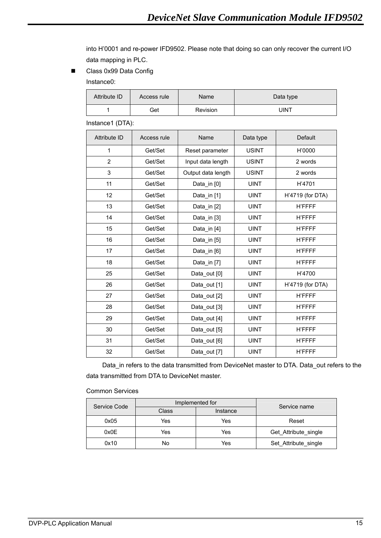into H'0001 and re-power IFD9502. Please note that doing so can only recover the current I/O data mapping in PLC.

Class 0x99 Data Config

Instance0:

| Attribute ID | Access rule | <b>Name</b> | Data type |
|--------------|-------------|-------------|-----------|
|              | Get         | Revision    | JINT      |

Instance1 (DTA):

| <b>Attribute ID</b> | Access rule | Name               | Data type    | Default          |
|---------------------|-------------|--------------------|--------------|------------------|
| 1                   | Get/Set     | Reset parameter    | <b>USINT</b> | H'0000           |
| $\overline{2}$      | Get/Set     | Input data length  | <b>USINT</b> | 2 words          |
| 3                   | Get/Set     | Output data length | <b>USINT</b> | 2 words          |
| 11                  | Get/Set     | Data_in [0]        | <b>UINT</b>  | H'4701           |
| 12                  | Get/Set     | Data in [1]        | <b>UINT</b>  | H'4719 (for DTA) |
| 13                  | Get/Set     | Data_in [2]        | <b>UINT</b>  | <b>H'FFFF</b>    |
| 14                  | Get/Set     | Data in [3]        | <b>UINT</b>  | <b>H'FFFF</b>    |
| 15                  | Get/Set     | Data_in [4]        | <b>UINT</b>  | <b>H'FFFF</b>    |
| 16                  | Get/Set     | Data_in [5]        | <b>UINT</b>  | <b>H'FFFF</b>    |
| 17                  | Get/Set     | Data in [6]        | <b>UINT</b>  | <b>H'FFFF</b>    |
| 18                  | Get/Set     | Data_in [7]        | <b>UINT</b>  | <b>H'FFFF</b>    |
| 25                  | Get/Set     | Data out [0]       | <b>UINT</b>  | H'4700           |
| 26                  | Get/Set     | Data_out [1]       | <b>UINT</b>  | H'4719 (for DTA) |
| 27                  | Get/Set     | Data_out [2]       | <b>UINT</b>  | <b>H'FFFF</b>    |
| 28                  | Get/Set     | Data_out [3]       | <b>UINT</b>  | <b>H'FFFF</b>    |
| 29                  | Get/Set     | Data_out [4]       | <b>UINT</b>  | <b>H'FFFF</b>    |
| 30                  | Get/Set     | Data out [5]       | <b>UINT</b>  | <b>H'FFFF</b>    |
| 31                  | Get/Set     | Data_out [6]       | <b>UINT</b>  | <b>H'FFFF</b>    |
| 32                  | Get/Set     | Data out [7]       | <b>UINT</b>  | <b>H'FFFF</b>    |

Data\_in refers to the data transmitted from DeviceNet master to DTA. Data\_out refers to the data transmitted from DTA to DeviceNet master.

Common Services

| Service Code |       | Implemented for |                      |  |  |  |  |  |  |  |
|--------------|-------|-----------------|----------------------|--|--|--|--|--|--|--|
|              | Class | Service name    |                      |  |  |  |  |  |  |  |
| 0x05         | Yes   | Yes             | Reset                |  |  |  |  |  |  |  |
| 0x0E         | Yes   | Yes             | Get Attribute single |  |  |  |  |  |  |  |
| 0x10         | No    | Yes             | Set Attribute single |  |  |  |  |  |  |  |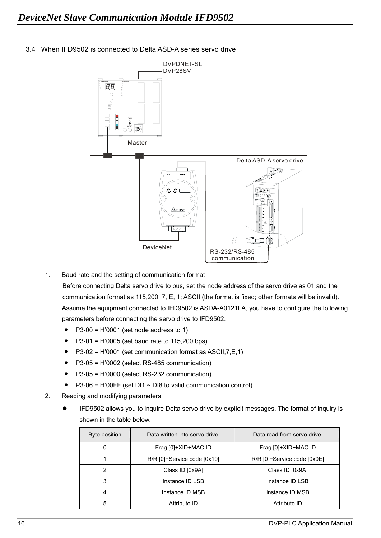

3.4 When IFD9502 is connected to Delta ASD-A series servo drive

1. Baud rate and the setting of communication format

Before connecting Delta servo drive to bus, set the node address of the servo drive as 01 and the communication format as 115,200; 7, E, 1; ASCII (the format is fixed; other formats will be invalid). Assume the equipment connected to IFD9502 is ASDA-A0121LA, you have to configure the following parameters before connecting the servo drive to IFD9502.

- $\bullet$  P3-00 = H'0001 (set node address to 1)
- $P3-01 = H'0005$  (set baud rate to 115,200 bps)
- $P3-02 = H'0001$  (set communication format as ASCII,  $7, E, 1$ )
- $\bullet$  P3-05 = H'0002 (select RS-485 communication)
- y P3-05 = H'0000 (select RS-232 communication)
- $P3-06 = H'00FF$  (set DI1 ~ DI8 to valid communication control)
- 2. Reading and modifying parameters
	- IFD9502 allows you to inquire Delta servo drive by explicit messages. The format of inquiry is shown in the table below.

| Byte position  | Data written into servo drive | Data read from servo drive  |
|----------------|-------------------------------|-----------------------------|
| 0              | Frag [0]+XID+MAC ID           | Frag [0]+XID+MAC ID         |
|                | $R/R$ [0]+Service code [0x10] | R/R [0]+Service code [0x0E] |
| $\overline{2}$ | Class ID [0x9A]               | Class ID [0x9A]             |
| 3              | Instance ID LSB               | Instance ID LSB             |
| $\overline{4}$ | Instance ID MSB               | Instance ID MSB             |
| 5              | Attribute ID                  | Attribute ID                |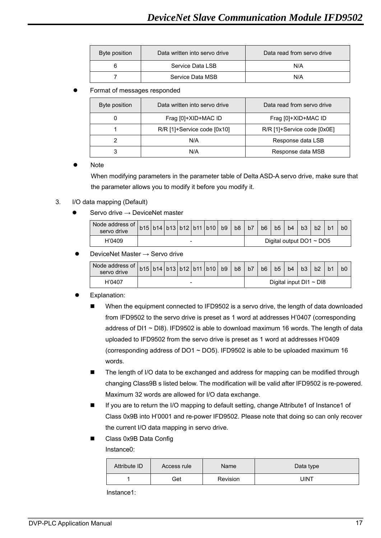| Byte position | Data written into servo drive | Data read from servo drive |  |  |  |  |  |
|---------------|-------------------------------|----------------------------|--|--|--|--|--|
|               | Service Data LSB              | N/A                        |  |  |  |  |  |
|               | Service Data MSB              | N/A                        |  |  |  |  |  |

#### Format of messages responded

| Byte position | Data written into servo drive | Data read from servo drive  |
|---------------|-------------------------------|-----------------------------|
|               | Frag [0]+XID+MAC ID           | Frag [0]+XID+MAC ID         |
|               | R/R [1]+Service code [0x10]   | R/R [1]+Service code [0x0E] |
|               | N/A                           | Response data LSB           |
|               | N/A                           | Response data MSB           |

#### **Note**

When modifying parameters in the parameter table of Delta ASD-A servo drive, make sure that the parameter allows you to modify it before you modify it.

#### 3. I/O data mapping (Default)

Servo drive  $\rightarrow$  DeviceNet master

| Node address of $ b15 b14 b13 b12 b11 b10 b9 $<br>servo drive |   |  |  |  |  |  |  | b8 | b7 | b <sub>6</sub> | b <sub>5</sub> | b <sub>4</sub>                | b3 | b2 | b0 |
|---------------------------------------------------------------|---|--|--|--|--|--|--|----|----|----------------|----------------|-------------------------------|----|----|----|
| H'0409                                                        | - |  |  |  |  |  |  |    |    |                |                | Digital output $DO1 \sim DO5$ |    |    |    |

#### DeviceNet Master  $\rightarrow$  Servo drive

| Node address of $ _{b15} _{b14} _{b13} _{b12} _{b11} _{b10} _{b9} _{b8} $<br>servo drive |   |  |  |  |  |  |  |  | b7 | b <sub>6</sub>               | b5 | b4 | b <sub>3</sub> |  | b0 |
|------------------------------------------------------------------------------------------|---|--|--|--|--|--|--|--|----|------------------------------|----|----|----------------|--|----|
| H'0407                                                                                   | - |  |  |  |  |  |  |  |    | Digital input $DI1 \sim DI8$ |    |    |                |  |    |

#### Explanation:

- When the equipment connected to IFD9502 is a servo drive, the length of data downloaded from IFD9502 to the servo drive is preset as 1 word at addresses H'0407 (corresponding address of  $DI1 \sim DI8$ ). IFD9502 is able to download maximum 16 words. The length of data uploaded to IFD9502 from the servo drive is preset as 1 word at addresses H'0409 (corresponding address of DO1 ~ DO5). IFD9502 is able to be uploaded maximum 16 words.
- The length of I/O data to be exchanged and address for mapping can be modified through changing Class9B s listed below. The modification will be valid after IFD9502 is re-powered. Maximum 32 words are allowed for I/O data exchange.
- If you are to return the I/O mapping to default setting, change Attribute1 of Instance1 of Class 0x9B into H'0001 and re-power IFD9502. Please note that doing so can only recover the current I/O data mapping in servo drive.
- Class 0x9B Data Config

Instance0:

| Attribute ID | Access rule | Name     | Data type |  |  |  |  |  |
|--------------|-------------|----------|-----------|--|--|--|--|--|
|              | Get         | Revision | UINT      |  |  |  |  |  |

Instance1: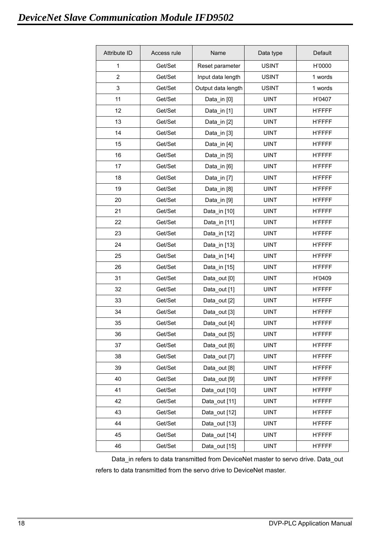| <b>Attribute ID</b> | Access rule | Name               | Data type    | Default       |
|---------------------|-------------|--------------------|--------------|---------------|
| $\mathbf{1}$        | Get/Set     | Reset parameter    | <b>USINT</b> | H'0000        |
| $\overline{2}$      | Get/Set     | Input data length  | <b>USINT</b> | 1 words       |
| 3                   | Get/Set     | Output data length | <b>USINT</b> | 1 words       |
| 11                  | Get/Set     | Data_in [0]        | <b>UINT</b>  | H'0407        |
| 12                  | Get/Set     | Data_in [1]        | <b>UINT</b>  | <b>H'FFFF</b> |
| 13                  | Get/Set     | Data_in [2]        | <b>UINT</b>  | <b>H'FFFF</b> |
| 14                  | Get/Set     | Data_in [3]        | <b>UINT</b>  | <b>H'FFFF</b> |
| 15                  | Get/Set     | Data_in [4]        | <b>UINT</b>  | <b>H'FFFF</b> |
| 16                  | Get/Set     | Data_in [5]        | <b>UINT</b>  | <b>H'FFFF</b> |
| 17                  | Get/Set     | Data_in [6]        | <b>UINT</b>  | <b>H'FFFF</b> |
| 18                  | Get/Set     | Data_in [7]        | <b>UINT</b>  | <b>H'FFFF</b> |
| 19                  | Get/Set     | Data_in [8]        | <b>UINT</b>  | <b>H'FFFF</b> |
| 20                  | Get/Set     | Data_in [9]        | <b>UINT</b>  | <b>H'FFFF</b> |
| 21                  | Get/Set     | Data_in [10]       | <b>UINT</b>  | <b>H'FFFF</b> |
| 22                  | Get/Set     | Data in [11]       | <b>UINT</b>  | <b>H'FFFF</b> |
| 23                  | Get/Set     | Data_in [12]       | <b>UINT</b>  | <b>H'FFFF</b> |
| 24                  | Get/Set     | Data_in [13]       | <b>UINT</b>  | <b>H'FFFF</b> |
| 25                  | Get/Set     | Data_in [14]       | <b>UINT</b>  | <b>H'FFFF</b> |
| 26                  | Get/Set     | Data_in [15]       | <b>UINT</b>  | <b>H'FFFF</b> |
| 31                  | Get/Set     | Data_out [0]       | <b>UINT</b>  | H'0409        |
| 32                  | Get/Set     | Data_out [1]       | <b>UINT</b>  | <b>H'FFFF</b> |
| 33                  | Get/Set     | Data_out [2]       | <b>UINT</b>  | <b>H'FFFF</b> |
| 34                  | Get/Set     | Data_out [3]       | <b>UINT</b>  | <b>H'FFFF</b> |
| 35                  | Get/Set     | Data_out [4]       | <b>UINT</b>  | <b>H'FFFF</b> |
| 36                  | Get/Set     | Data_out [5]       | <b>UINT</b>  | <b>H'FFFF</b> |
| 37                  | Get/Set     | Data_out [6]       | <b>UINT</b>  | <b>H'FFFF</b> |
| 38                  | Get/Set     | Data out [7]       | <b>UINT</b>  | <b>H'FFFF</b> |
| 39                  | Get/Set     | Data_out [8]       | <b>UINT</b>  | <b>H'FFFF</b> |
| 40                  | Get/Set     | Data out [9]       | <b>UINT</b>  | <b>H'FFFF</b> |
| 41                  | Get/Set     | Data_out [10]      | <b>UINT</b>  | <b>H'FFFF</b> |
| 42                  | Get/Set     | Data out [11]      | <b>UINT</b>  | <b>H'FFFF</b> |
| 43                  | Get/Set     | Data out [12]      | <b>UINT</b>  | <b>H'FFFF</b> |
| 44                  | Get/Set     | Data_out [13]      | <b>UINT</b>  | <b>H'FFFF</b> |
| 45                  | Get/Set     | Data_out [14]      | <b>UINT</b>  | <b>H'FFFF</b> |
| 46                  | Get/Set     | Data_out [15]      | <b>UINT</b>  | <b>H'FFFF</b> |

Data\_in refers to data transmitted from DeviceNet master to servo drive. Data\_out refers to data transmitted from the servo drive to DeviceNet master.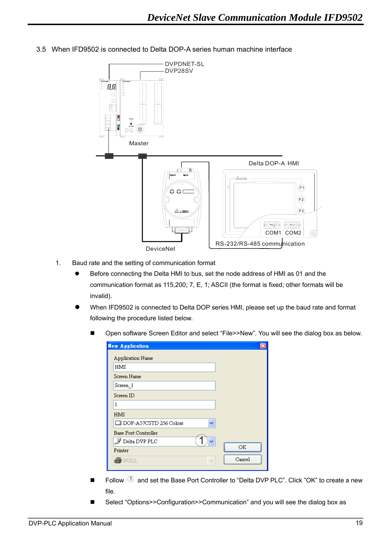

3.5 When IFD9502 is connected to Delta DOP-A series human machine interface

- 1. Baud rate and the setting of communication format
	- Before connecting the Delta HMI to bus, set the node address of HMI as 01 and the communication format as 115,200; 7, E, 1; ASCII (the format is fixed; other formats will be invalid).
	- When IFD9502 is connected to Delta DOP series HMI, please set up the baud rate and format following the procedure listed below.
		- Open software Screen Editor and select "File>>New". You will see the dialog box as below.

| <b>New Application</b>        |        | ×      |
|-------------------------------|--------|--------|
| Application Name              |        |        |
| HMI                           |        |        |
| Screen Name                   |        |        |
| Screen 1                      |        |        |
| Screen ID                     |        |        |
| 1                             |        |        |
| HMI                           |        |        |
| $\Box$ DOP-A57CSTD 256 Colors |        |        |
| Base Port Controller          |        |        |
| $\mathcal J$ Delta DVP PLC    |        |        |
| Printer                       |        | OК     |
| <b>ANULL</b>                  | $\sim$ | Cancel |
|                               |        |        |

- Follow  $\widehat{1}$  and set the Base Port Controller to "Delta DVP PLC". Click "OK" to create a new file.
- Select "Options>>Configuration>>Communication" and you will see the dialog box as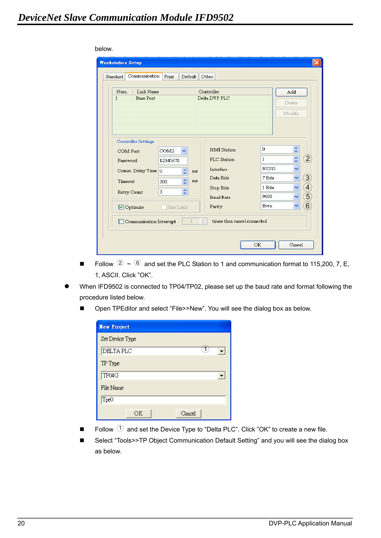below.

| Link Name<br>Num.                |            |    | Controller         |             | <b>bbA</b>                                |
|----------------------------------|------------|----|--------------------|-------------|-------------------------------------------|
| <b>Base Port</b><br>$\mathbf{1}$ |            |    | Delta DVP PLC      |             | Delete                                    |
|                                  |            |    |                    |             | Modify                                    |
|                                  |            |    |                    |             |                                           |
|                                  |            |    |                    |             |                                           |
| Controller Settings              |            |    |                    |             |                                           |
| COM Port                         | COM2<br>v  |    | <b>HMI</b> Station | 0           | ÷                                         |
| Password                         | 12345678   |    | PLC Station        | 1           | $\left( 2\right)$<br>$\ddot{\phantom{0}}$ |
| Comm. Delay Time 0               | ¢          | ms | Interface          | RS232       | v                                         |
| Timeout                          | ÷<br>300   | ms | Data Bits          | 7 Bits      | $\boxed{3}$<br>↩                          |
|                                  | 3          |    | Stop Bits          | 1 Bits      | $\overline{4}$<br>×                       |
|                                  |            |    | <b>Baud Rate</b>   | 9600        | $\widehat{5}$<br>v                        |
| Optimize                         | Size Limit |    | Parity             | <b>Even</b> | 6<br>v                                    |
| Retry Count                      | ÷          |    |                    |             |                                           |

- Follow  $(2) \sim (6)$  and set the PLC Station to 1 and communication format to 115,200, 7, E, 1, ASCII. Click "OK".
- When IFD9502 is connected to TP04/TP02, please set up the baud rate and format following the procedure listed below.
	- Open TPEditor and select "File>>New". You will see the dialog box as below.

| <b>New Project</b> |  |
|--------------------|--|
| Set Device Type    |  |
| DELTA PLC          |  |
| TP Type            |  |
| TP04G              |  |
| File Name          |  |
| T <sub>pe</sub> o  |  |
| ΟK<br>Cancel       |  |

- $\blacksquare$  Follow  $\textcircled{1}$  and set the Device Type to "Delta PLC". Click "OK" to create a new file.
- Select "Tools>>TP Object Communication Default Setting" and you will see the dialog box as below.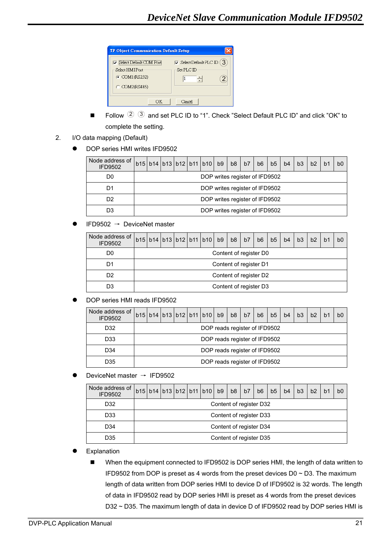

- Follow  $(2)$   $(3)$  and set PLC ID to "1". Check "Select Default PLC ID" and click "OK" to complete the setting.
- 2. I/O data mapping (Default)
	- DOP series HMI writes IFD9502

| Node address of<br><b>IFD9502</b> |                                |  |  |  | b15 b14 b13 b12 b11 b10 b9     |  | b8 | b7 | b6 | b5 | b4 | b3 | b2 | b <sub>1</sub> | b0 |
|-----------------------------------|--------------------------------|--|--|--|--------------------------------|--|----|----|----|----|----|----|----|----------------|----|
| D0                                | DOP writes register of IFD9502 |  |  |  |                                |  |    |    |    |    |    |    |    |                |    |
| D1                                | DOP writes register of IFD9502 |  |  |  |                                |  |    |    |    |    |    |    |    |                |    |
| D2                                |                                |  |  |  | DOP writes register of IFD9502 |  |    |    |    |    |    |    |    |                |    |
| D3                                | DOP writes register of IFD9502 |  |  |  |                                |  |    |    |    |    |    |    |    |                |    |

 $IFD9502 \rightarrow DeviceNet master$ 

| Node address of<br><b>IFD9502</b> |                        | b15 b14 b13 b12 b11 b10 b9 b8 |  |  |  |  |  | b7 | b6 | b5 | b4 | b3 | b2 | b <sub>1</sub> | b0 |
|-----------------------------------|------------------------|-------------------------------|--|--|--|--|--|----|----|----|----|----|----|----------------|----|
| D <sub>0</sub>                    | Content of register D0 |                               |  |  |  |  |  |    |    |    |    |    |    |                |    |
| D1                                | Content of register D1 |                               |  |  |  |  |  |    |    |    |    |    |    |                |    |
| D <sub>2</sub>                    | Content of register D2 |                               |  |  |  |  |  |    |    |    |    |    |    |                |    |
| D3                                | Content of register D3 |                               |  |  |  |  |  |    |    |    |    |    |    |                |    |

DOP series HMI reads IFD9502

| Node address of<br><b>IFD9502</b> |                               |  | $b15$  b14 b13 b12 b11 b10 b9 b8 |  |  |  |  | b7 | b <sub>6</sub> | b5 | b4 | b3 | b2 | b <sub>1</sub> | b <sub>0</sub> |
|-----------------------------------|-------------------------------|--|----------------------------------|--|--|--|--|----|----------------|----|----|----|----|----------------|----------------|
| D32                               | DOP reads register of IFD9502 |  |                                  |  |  |  |  |    |                |    |    |    |    |                |                |
| D <sub>33</sub>                   | DOP reads register of IFD9502 |  |                                  |  |  |  |  |    |                |    |    |    |    |                |                |
| D34                               | DOP reads register of IFD9502 |  |                                  |  |  |  |  |    |                |    |    |    |    |                |                |
| D35                               | DOP reads register of IFD9502 |  |                                  |  |  |  |  |    |                |    |    |    |    |                |                |

DeviceNet master → IFD9502

| Node address of<br><b>IFD9502</b> |                         |  |  |  | b15 b14 b13 b12 b11 b10 b9 |  | b8 | b7 | b <sub>6</sub> | b <sub>5</sub> | b4 | b <sub>3</sub> | b2 | b <sup>1</sup> | bC |
|-----------------------------------|-------------------------|--|--|--|----------------------------|--|----|----|----------------|----------------|----|----------------|----|----------------|----|
| D <sub>32</sub>                   | Content of register D32 |  |  |  |                            |  |    |    |                |                |    |                |    |                |    |
| D <sub>33</sub>                   | Content of register D33 |  |  |  |                            |  |    |    |                |                |    |                |    |                |    |
| D <sub>34</sub>                   | Content of register D34 |  |  |  |                            |  |    |    |                |                |    |                |    |                |    |
| D35                               | Content of register D35 |  |  |  |                            |  |    |    |                |                |    |                |    |                |    |

## Explanation

■ When the equipment connected to IFD9502 is DOP series HMI, the length of data written to IFD9502 from DOP is preset as 4 words from the preset devices  $D0 \sim D3$ . The maximum length of data written from DOP series HMI to device D of IFD9502 is 32 words. The length of data in IFD9502 read by DOP series HMI is preset as 4 words from the preset devices D32 ~ D35. The maximum length of data in device D of IFD9502 read by DOP series HMI is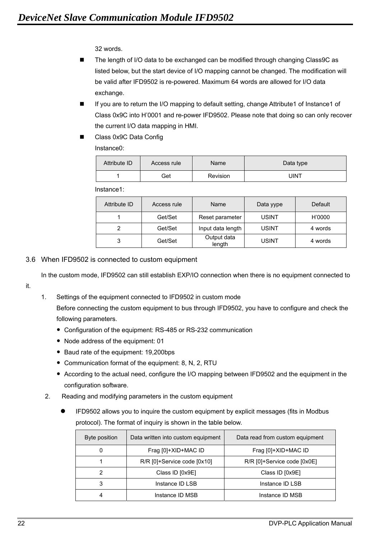32 words.

- The length of I/O data to be exchanged can be modified through changing Class9C as listed below, but the start device of I/O mapping cannot be changed. The modification will be valid after IFD9502 is re-powered. Maximum 64 words are allowed for I/O data exchange.
- If you are to return the I/O mapping to default setting, change Attribute1 of Instance1 of Class 0x9C into H'0001 and re-power IFD9502. Please note that doing so can only recover the current I/O data mapping in HMI.
- Class 0x9C Data Config

Instance0:

| Attribute ID | Access rule | Name     | Data type   |
|--------------|-------------|----------|-------------|
|              | Get         | Revision | <b>UINT</b> |

Instance1:

| Attribute ID | Access rule | Name                  | Data yype    | Default |
|--------------|-------------|-----------------------|--------------|---------|
|              | Get/Set     | Reset parameter       | <b>USINT</b> | H'0000  |
| າ            | Get/Set     | Input data length     | <b>USINT</b> | 4 words |
| 3            | Get/Set     | Output data<br>length | <b>USINT</b> | 4 words |

#### 3.6 When IFD9502 is connected to custom equipment

In the custom mode, IFD9502 can still establish EXP/IO connection when there is no equipment connected to

it.

1. Settings of the equipment connected to IFD9502 in custom mode

Before connecting the custom equipment to bus through IFD9502, you have to configure and check the following parameters.

- Configuration of the equipment: RS-485 or RS-232 communication
- Node address of the equipment: 01
- Baud rate of the equipment: 19,200bps
- Communication format of the equipment: 8, N, 2, RTU
- According to the actual need, configure the I/O mapping between IFD9502 and the equipment in the configuration software.
- 2. Reading and modifying parameters in the custom equipment
	- IFD9502 allows you to inquire the custom equipment by explicit messages (fits in Modbus protocol). The format of inquiry is shown in the table below.

| Byte position | Data written into custom equipment | Data read from custom equipment |
|---------------|------------------------------------|---------------------------------|
| 0             | Frag [0]+XID+MAC ID                | Frag [0]+XID+MAC ID             |
|               | R/R [0]+Service code [0x10]        | R/R [0]+Service code [0x0E]     |
|               | Class ID [0x9E]                    | Class ID [0x9E]                 |
| 3             | Instance ID LSB                    | Instance ID LSB                 |
| 4             | Instance ID MSB                    | Instance ID MSB                 |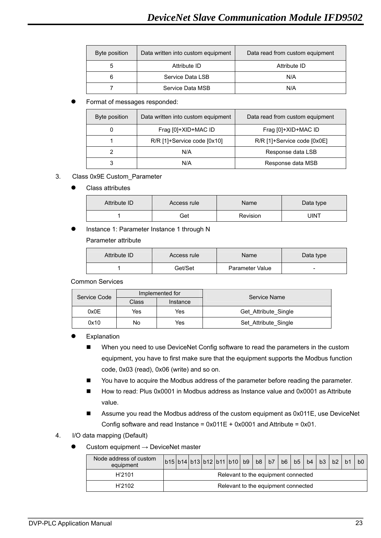| Byte position | Data written into custom equipment | Data read from custom equipment |
|---------------|------------------------------------|---------------------------------|
| 5             | Attribute ID                       | Attribute ID                    |
|               | Service Data LSB                   | N/A                             |
|               | Service Data MSB                   | N/A                             |

#### Format of messages responded:

| Byte position | Data written into custom equipment | Data read from custom equipment |
|---------------|------------------------------------|---------------------------------|
|               | Frag [0]+XID+MAC ID                | Frag [0]+XID+MAC ID             |
|               | R/R [1]+Service code [0x10]        | R/R [1]+Service code [0x0E]     |
| 2             | N/A                                | Response data LSB               |
|               | N/A                                | Response data MSB               |

#### 3. Class 0x9E Custom\_Parameter

Class attributes

| Attribute ID | Access rule | Name     | Data type |
|--------------|-------------|----------|-----------|
|              | Get         | Revision | JINT      |

Instance 1: Parameter Instance 1 through N

#### Parameter attribute

| Attribute ID | Access rule | Name            | Data type                |
|--------------|-------------|-----------------|--------------------------|
|              | Get/Set     | Parameter Value | $\overline{\phantom{0}}$ |

Common Services

| Service Code |            | Implemented for | Service Name         |
|--------------|------------|-----------------|----------------------|
|              | Class      | Instance        |                      |
| 0x0E         | Yes<br>Yes |                 | Get Attribute Single |
| 0x10         | Yes<br>No  |                 | Set Attribute Single |

#### Explanation

- When you need to use DeviceNet Config software to read the parameters in the custom equipment, you have to first make sure that the equipment supports the Modbus function code, 0x03 (read), 0x06 (write) and so on.
- You have to acquire the Modbus address of the parameter before reading the parameter.
- How to read: Plus 0x0001 in Modbus address as Instance value and 0x0001 as Attribute value.
- Assume you read the Modbus address of the custom equipment as 0x011E, use DeviceNet Config software and read Instance = 0x011E + 0x0001 and Attribute = 0x01.
- 4. I/O data mapping (Default)
	- Custom equipment  $\rightarrow$  DeviceNet master

| Node address of custom<br>equipment | b15 b14 b13 b12 b11 b10  b9   b8   b7   b6 |  |  |                                     |  |  | b <sub>5</sub> | b4 | b3 | b2 | b0 |
|-------------------------------------|--------------------------------------------|--|--|-------------------------------------|--|--|----------------|----|----|----|----|
| H'2101                              |                                            |  |  | Relevant to the equipment connected |  |  |                |    |    |    |    |
| H'2102                              |                                            |  |  | Relevant to the equipment connected |  |  |                |    |    |    |    |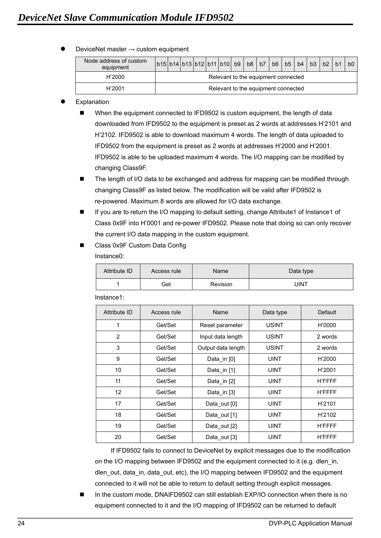DeviceNet master  $\rightarrow$  custom equipment

| Node address of custom<br>equipment | $\vert$ b15 $\vert$ b14 $\vert$ b13 $\vert$ b12 $\vert$ b11 $\vert$ b10 $\vert$ b9 $\vert$ b8 $\vert$ b7 $\vert$ b6 $\vert$ b5 $\vert$ |  |  |  |  |  |  |  |  |  |  | b4 | b3 | b2 |  | b <sub>0</sub> |
|-------------------------------------|----------------------------------------------------------------------------------------------------------------------------------------|--|--|--|--|--|--|--|--|--|--|----|----|----|--|----------------|
| H'2000                              | Relevant to the equipment connected                                                                                                    |  |  |  |  |  |  |  |  |  |  |    |    |    |  |                |
| H'2001                              | Relevant to the equipment connected                                                                                                    |  |  |  |  |  |  |  |  |  |  |    |    |    |  |                |

#### Explanation

 When the equipment connected to IFD9502 is custom equipment, the length of data downloaded from IFD9502 to the equipment is preset as 2 words at addresses H'2101 and H'2102. IFD9502 is able to download maximum 4 words. The length of data uploaded to IFD9502 from the equipment is preset as 2 words at addresses H'2000 and H'2001. IFD9502 is able to be uploaded maximum 4 words. The I/O mapping can be modified by changing Class9F.

■ The length of I/O data to be exchanged and address for mapping can be modified through changing Class9F as listed below. The modification will be valid after IFD9502 is re-powered. Maximum 8 words are allowed for I/O data exchange.

- If you are to return the I/O mapping to default setting, change Attribute1 of Instance1 of Class 0x9F into H'0001 and re-power IFD9502. Please note that doing so can only recover the current I/O data mapping in the custom equipment.
- Class 0x9F Custom Data Config

Instance0:

| Attribute ID | Access rule | Name            | Data type |
|--------------|-------------|-----------------|-----------|
|              | Get         | <b>Revision</b> | UINT      |

| Attribute ID   | Access rule | Name               | Data type    | <b>Default</b> |
|----------------|-------------|--------------------|--------------|----------------|
| $\mathbf{1}$   | Get/Set     | Reset parameter    | <b>USINT</b> | H'0000         |
| $\overline{2}$ | Get/Set     | Input data length  | <b>USINT</b> | 2 words        |
| 3              | Get/Set     | Output data length | USINT        | 2 words        |
| 9              | Get/Set     | Data_in [0]        | <b>UINT</b>  | H'2000         |
| 10             | Get/Set     | Data_in [1]        | <b>UINT</b>  | H'2001         |
| 11             | Get/Set     | Data in $[2]$      | <b>UINT</b>  | <b>H'FFFF</b>  |
| 12             | Get/Set     | Data in $[3]$      | <b>UINT</b>  | <b>H'FFFF</b>  |
| 17             | Get/Set     | Data_out [0]       | <b>UINT</b>  | H'2101         |
| 18             | Get/Set     | Data_out [1]       | <b>UINT</b>  | H'2102         |
| 19             | Get/Set     | Data_out [2]       | <b>UINT</b>  | <b>H'FFFF</b>  |
| 20             | Get/Set     | Data_out [3]       | <b>UINT</b>  | <b>H'FFFF</b>  |

Instance1:

If IFD9502 fails to connect to DeviceNet by explicit messages due to the modification on the I/O mapping between IFD9502 and the equipment connected to it (e.g. dlen in, dlen\_out, data\_in, data\_out, etc), the I/O mapping between IFD9502 and the equipment connected to it will not be able to return to default setting through explicit messages.

 In the custom mode, DNAIFD9502 can still establish EXP/IO connection when there is no equipment connected to it and the I/O mapping of IFD9502 can be returned to default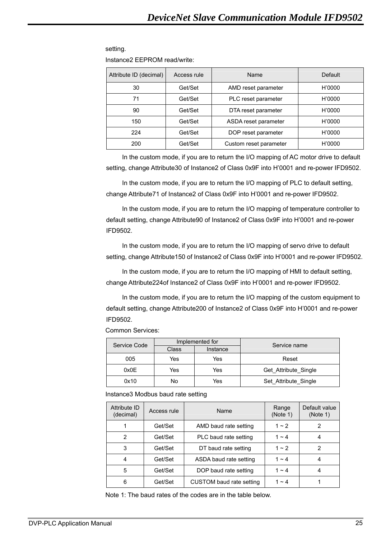#### setting.

Instance2 EEPROM read/write:

| Attribute ID (decimal) | Access rule | Name                   | Default |
|------------------------|-------------|------------------------|---------|
| 30                     | Get/Set     | AMD reset parameter    | H'0000  |
| 71                     | Get/Set     | PLC reset parameter    | H'0000  |
| 90                     | Get/Set     | DTA reset parameter    | H'0000  |
| 150                    | Get/Set     | ASDA reset parameter   | H'0000  |
| 224                    | Get/Set     | DOP reset parameter    | H'0000  |
| 200                    | Get/Set     | Custom reset parameter | H'0000  |

In the custom mode, if you are to return the I/O mapping of AC motor drive to default setting, change Attribute30 of Instance2 of Class 0x9F into H'0001 and re-power IFD9502.

In the custom mode, if you are to return the I/O mapping of PLC to default setting, change Attribute71 of Instance2 of Class 0x9F into H'0001 and re-power IFD9502.

In the custom mode, if you are to return the I/O mapping of temperature controller to default setting, change Attribute90 of Instance2 of Class 0x9F into H'0001 and re-power IFD9502.

In the custom mode, if you are to return the I/O mapping of servo drive to default setting, change Attribute150 of Instance2 of Class 0x9F into H'0001 and re-power IFD9502.

In the custom mode, if you are to return the I/O mapping of HMI to default setting, change Attribute224of Instance2 of Class 0x9F into H'0001 and re-power IFD9502.

In the custom mode, if you are to return the I/O mapping of the custom equipment to default setting, change Attribute200 of Instance2 of Class 0x9F into H'0001 and re-power IFD9502.

Common Services:

| Service Code |       | Implemented for | Service name         |  |
|--------------|-------|-----------------|----------------------|--|
|              | Class | Instance        |                      |  |
| 005          | Yes   | Yes             | Reset                |  |
| 0x0E         | Yes   | Yes             | Get Attribute Single |  |
| 0x10         | No    | Yes             | Set Attribute Single |  |

Instance3 Modbus baud rate setting

| Attribute ID<br>(decimal) | Access rule | Name                     | Range<br>(Note 1) | Default value<br>(Note 1) |
|---------------------------|-------------|--------------------------|-------------------|---------------------------|
|                           | Get/Set     | AMD baud rate setting    | $1 - 2$           | 2                         |
| 2                         | Get/Set     | PLC baud rate setting    | $1 - 4$           | 4                         |
| 3                         | Get/Set     | DT baud rate setting     | $1 - 2$           | 2                         |
| 4                         | Get/Set     | ASDA baud rate setting   | $1 - 4$           |                           |
| 5                         | Get/Set     | DOP baud rate setting    | $1 - 4$           | 4                         |
| 6                         | Get/Set     | CUSTOM baud rate setting | $1 - 4$           |                           |

Note 1: The baud rates of the codes are in the table below.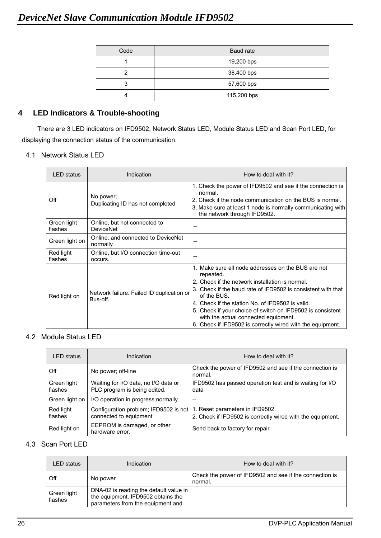| Code | Baud rate   |
|------|-------------|
|      | 19,200 bps  |
| っ    | 38,400 bps  |
| 3    | 57,600 bps  |
|      | 115,200 bps |

## **4 LED Indicators & Trouble-shooting**

There are 3 LED indicators on IFD9502, Network Status LED, Module Status LED and Scan Port LED, for displaying the connection status of the communication.

4.1 Network Status LED

| <b>LED</b> status      | Indication                                            | How to deal with it?                                                                                                                                                                                                                                                                                                                                                                                                      |
|------------------------|-------------------------------------------------------|---------------------------------------------------------------------------------------------------------------------------------------------------------------------------------------------------------------------------------------------------------------------------------------------------------------------------------------------------------------------------------------------------------------------------|
| Off                    | No power;<br>Duplicating ID has not completed         | 1. Check the power of IFD9502 and see if the connection is<br>normal.<br>2. Check if the node communication on the BUS is normal.<br>3. Make sure at least 1 node is normally communicating with<br>the network through IFD9502.                                                                                                                                                                                          |
| Green light<br>flashes | Online, but not connected to<br><b>DeviceNet</b>      | $- -$                                                                                                                                                                                                                                                                                                                                                                                                                     |
| Green light on         | Online, and connected to DeviceNet<br>normally        |                                                                                                                                                                                                                                                                                                                                                                                                                           |
| Red light<br>flashes   | Online, but I/O connection time-out<br>occurs.        |                                                                                                                                                                                                                                                                                                                                                                                                                           |
| Red light on           | Network failure. Failed ID duplication or<br>Bus-off. | 1. Make sure all node addresses on the BUS are not<br>repeated.<br>2. Check if the network installation is normal.<br>3. Check if the baud rate of IFD9502 is consistent with that<br>of the BUS.<br>4. Check if the station No. of IFD9502 is valid.<br>5. Check if your choice of switch on IFD9502 is consistent<br>with the actual connected equipment.<br>6. Check if IFD9502 is correctly wired with the equipment. |

## 4.2 Module Status LED

| LED status             | Indication                                                           | How to deal with it?                                                                          |
|------------------------|----------------------------------------------------------------------|-----------------------------------------------------------------------------------------------|
| Off                    | No power; off-line                                                   | Check the power of IFD9502 and see if the connection is<br>normal.                            |
| Green light<br>flashes | Waiting for I/O data, no I/O data or<br>PLC program is being edited. | IFD9502 has passed operation test and is waiting for I/O<br>data                              |
| Green light on         | I/O operation in progress normally.                                  | $-$                                                                                           |
| Red light<br>flashes   | Configuration problem; IFD9502 is not<br>connected to equipment      | 1. Reset parameters in IFD9502.<br>2. Check if IFD9502 is correctly wired with the equipment. |
| Red light on           | EEPROM is damaged, or other<br>hardware error.                       | Send back to factory for repair.                                                              |

## 4.3 Scan Port LED

| LED status             | Indication                                                                                                        | How to deal with it?                                               |
|------------------------|-------------------------------------------------------------------------------------------------------------------|--------------------------------------------------------------------|
| Off                    | No power                                                                                                          | Check the power of IFD9502 and see if the connection is<br>normal. |
| Green light<br>flashes | DNA-02 is reading the default value in<br>the equipment. IFD9502 obtains the<br>parameters from the equipment and |                                                                    |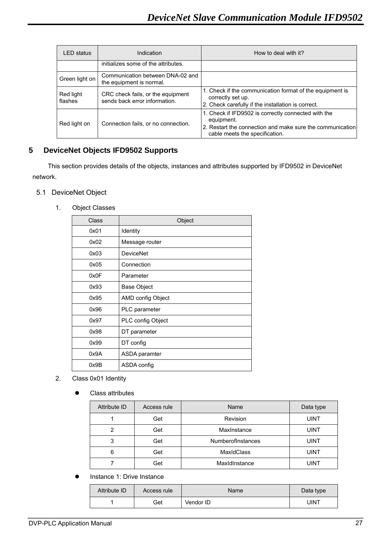| <b>LED</b> status    | Indication                                                         | How to deal with it?                                                                                                                                             |
|----------------------|--------------------------------------------------------------------|------------------------------------------------------------------------------------------------------------------------------------------------------------------|
|                      | initializes some of the attributes.                                |                                                                                                                                                                  |
| Green light on       | Communication between DNA-02 and<br>the equipment is normal.       |                                                                                                                                                                  |
| Red light<br>flashes | CRC check fails, or the equipment<br>sends back error information. | 1. Check if the communication format of the equipment is<br>correctly set up.<br>2. Check carefully if the installation is correct.                              |
| Red light on         | Connection fails, or no connection.                                | 1. Check if IFD9502 is correctly connected with the<br>equipment.<br>2. Restart the connection and make sure the communication<br>cable meets the specification. |

## **5 DeviceNet Objects IFD9502 Supports**

This section provides details of the objects, instances and attributes supported by IFD9502 in DeviceNet network.

- 5.1 DeviceNet Object
	- 1. Object Classes

| Class | Object             |
|-------|--------------------|
| 0x01  | Identity           |
| 0x02  | Message router     |
| 0x03  | <b>DeviceNet</b>   |
| 0x05  | Connection         |
| 0x0F  | Parameter          |
| 0x93  | <b>Base Object</b> |
| 0x95  | AMD config Object  |
| 0x96  | PLC parameter      |
| 0x97  | PLC config Object  |
| 0x98  | DT parameter       |
| 0x99  | DT config          |
| 0x9A  | ASDA paramter      |
| 0x9B  | ASDA config        |

- 2. Class 0x01 Identity
	- **•** Class attributes

| Attribute ID | Access rule | Name                     | Data type   |
|--------------|-------------|--------------------------|-------------|
|              | Get         | Revision                 | <b>UINT</b> |
| 2            | Get         | MaxInstance              | <b>UINT</b> |
| 3            | Get         | <b>NumberofInstances</b> | UINT        |
| 6            | Get         | <b>MaxIdClass</b>        | UINT        |
|              | Get         | Maxidinstance            | UINT        |

Instance 1: Drive Instance

| Attribute ID | Access rule | Name      | Data type |
|--------------|-------------|-----------|-----------|
|              | Get         | Vendor ID | JINT      |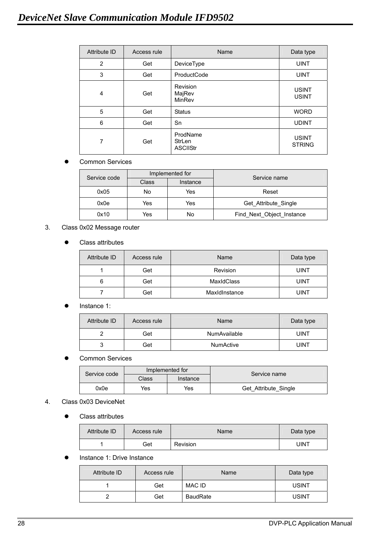| Attribute ID   | Access rule | Name                                  | Data type                     |
|----------------|-------------|---------------------------------------|-------------------------------|
| $\overline{2}$ | Get         | DeviceType                            | <b>UINT</b>                   |
| 3              | Get         | ProductCode                           | <b>UINT</b>                   |
| 4              | Get         | Revision<br>MajRev<br>MinRev          | <b>USINT</b><br><b>USINT</b>  |
| 5              | Get         | <b>Status</b>                         | <b>WORD</b>                   |
| 6              | Get         | Sn                                    | <b>UDINT</b>                  |
| 7              | Get         | ProdName<br>StrLen<br><b>ASCIIStr</b> | <b>USINT</b><br><b>STRING</b> |

| Service code | Implemented for |          | Service name              |
|--------------|-----------------|----------|---------------------------|
|              | Class           | Instance |                           |
| 0x05         | No              | Yes      | Reset                     |
| 0x0e         | Yes             | Yes      | Get Attribute Single      |
| 0x10         | Yes             | No       | Find_Next_Object_Instance |

#### 3. Class 0x02 Message router

|  | Class attributes |
|--|------------------|
|--|------------------|

| Attribute ID | Access rule | Name          | Data type   |
|--------------|-------------|---------------|-------------|
|              | Get         | Revision      | <b>UINT</b> |
| 6            | Get         | MaxIdClass    | UINT        |
|              | Get         | Maxidinstance | <b>UINT</b> |

#### Instance 1:

| Attribute ID | Access rule | Name                | Data type |
|--------------|-------------|---------------------|-----------|
|              | Get         | <b>NumAvailable</b> | UINT      |
| ື            | Get         | <b>NumActive</b>    | UINT      |

### **•** Common Services

| Service code | Implemented for |          | Service name         |
|--------------|-----------------|----------|----------------------|
|              | Class           | Instance |                      |
| 0x0e         | Yes             | Yes      | Get Attribute Single |

#### 4. Class 0x03 DeviceNet

• Class attributes

| Attribute ID | Access rule | Name     | Data type |
|--------------|-------------|----------|-----------|
|              | Get         | Revision | UINT      |

**•** Instance 1: Drive Instance

| Attribute ID | Access rule | Name            | Data type    |
|--------------|-------------|-----------------|--------------|
|              | Get         | MAC ID          | <b>USINT</b> |
|              | Get         | <b>BaudRate</b> | <b>USINT</b> |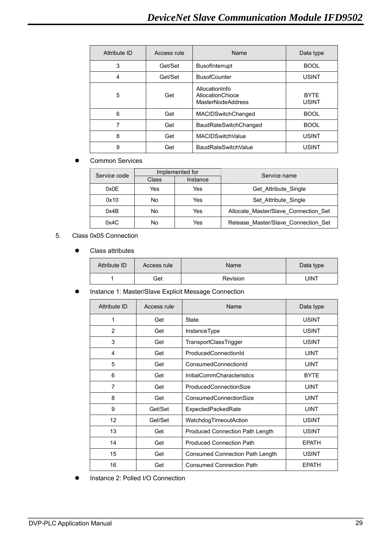| Attribute ID | Access rule | Name                                                           | Data type                   |
|--------------|-------------|----------------------------------------------------------------|-----------------------------|
| 3            | Get/Set     | <b>BusofInterrupt</b>                                          | <b>BOOL</b>                 |
| 4            | Get/Set     | <b>BusofCounter</b>                                            | <b>USINT</b>                |
| 5            | Get         | AllocationInfo<br>AllocationChioce<br><b>MasterNodeAddress</b> | <b>BYTE</b><br><b>USINT</b> |
| 6            | Get         | MACIDSwitchChanged                                             | <b>BOOL</b>                 |
| 7            | Get         | <b>BaudRateSwitchChanged</b>                                   | <b>BOOL</b>                 |
| 8            | Get         | <b>MACIDSwitchValue</b>                                        | <b>USINT</b>                |
| 9            | Get         | <b>BaudRateSwitchValue</b>                                     | <b>USINT</b>                |

| Implemented for<br>Service code |       |          | Service name                         |
|---------------------------------|-------|----------|--------------------------------------|
|                                 | Class | Instance |                                      |
| 0x0E                            | Yes   | Yes      | Get Attribute_Single                 |
| 0x10                            | No    | Yes      | Set Attribute Single                 |
| 0x4B                            | No    | Yes      | Allocate Master/Slave Connection Set |
| 0x4C                            | No    | Yes      | Release Master/Slave Connection Set  |

### 5. Class 0x05 Connection

• Class attributes

| Attribute ID | Access rule | <b>Name</b> | Data type |
|--------------|-------------|-------------|-----------|
|              | Get         | Revision    | JINT      |

#### **• Instance 1: Master/Slave Explicit Message Connection**

| Attribute ID | Access rule | Name                                   | Data type    |
|--------------|-------------|----------------------------------------|--------------|
| 1            | Get         | State                                  | <b>USINT</b> |
| 2            | Get         | InstanceType                           | <b>USINT</b> |
| 3            | Get         | TransportClassTrigger                  | <b>USINT</b> |
| 4            | Get         | ProducedConnectionId                   | <b>UINT</b>  |
| 5            | Get         | ConsumedConnectionId                   | <b>UINT</b>  |
| 6            | Get         | <b>InitialCommCharacteristics</b>      | <b>BYTE</b>  |
| 7            | Get         | <b>ProducedConnectionSize</b>          | <b>UINT</b>  |
| 8            | Get         | ConsumedConnectionSize                 | <b>UINT</b>  |
| 9            | Get/Set     | ExpectedPackedRate                     | <b>UINT</b>  |
| 12           | Get/Set     | WatchdogTimeoutAction                  | <b>USINT</b> |
| 13           | Get         | <b>Produced Connection Path Length</b> | <b>USINT</b> |
| 14           | Get         | <b>Produced Connection Path</b>        | <b>EPATH</b> |
| 15           | Get         | <b>Consumed Connection Path Length</b> | <b>USINT</b> |
| 16           | Get         | <b>Consumed Connection Path</b>        | <b>EPATH</b> |

**•** Instance 2: Polled I/O Connection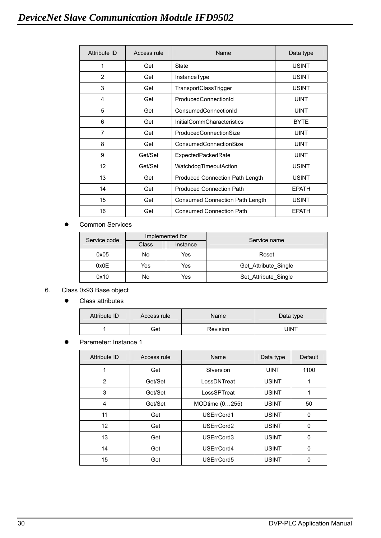| <b>Attribute ID</b> | Access rule | Name                                   | Data type    |
|---------------------|-------------|----------------------------------------|--------------|
| 1                   | Get         | <b>State</b>                           | <b>USINT</b> |
| 2                   | Get         | InstanceType                           | <b>USINT</b> |
| 3                   | Get         | TransportClassTrigger                  | <b>USINT</b> |
| 4                   | Get         | ProducedConnectionId                   | <b>UINT</b>  |
| 5                   | Get         | ConsumedConnectionId                   | <b>UINT</b>  |
| 6                   | Get         | <b>InitialCommCharacteristics</b>      | <b>BYTE</b>  |
| $\overline{7}$      | Get         | <b>ProducedConnectionSize</b>          | <b>UINT</b>  |
| 8                   | Get         | ConsumedConnectionSize                 | <b>UINT</b>  |
| 9                   | Get/Set     | ExpectedPackedRate                     | <b>UINT</b>  |
| 12                  | Get/Set     | WatchdogTimeoutAction                  | <b>USINT</b> |
| 13                  | Get         | <b>Produced Connection Path Length</b> | <b>USINT</b> |
| 14                  | Get         | <b>Produced Connection Path</b>        | <b>EPATH</b> |
| 15                  | Get         | <b>Consumed Connection Path Length</b> | <b>USINT</b> |
| 16                  | Get         | <b>Consumed Connection Path</b>        | <b>EPATH</b> |

| Service code | Implemented for |          | Service name         |
|--------------|-----------------|----------|----------------------|
|              | Class           | Instance |                      |
| 0x05         | No              | Yes      | Reset                |
| 0x0E         | Yes             | Yes      | Get Attribute_Single |
| 0x10         | No              | Yes      | Set Attribute Single |

## 6. Class 0x93 Base object

• Class attributes

| Attribute ID | Access rule | Name            | Data type |
|--------------|-------------|-----------------|-----------|
|              | Get         | <b>Revision</b> | JINT      |

#### Paremeter: Instance 1

| Attribute ID | Access rule | Name           | Data type    | Default  |
|--------------|-------------|----------------|--------------|----------|
| 1            | Get         | Sfversion      | <b>UINT</b>  | 1100     |
| 2            | Get/Set     | LossDNTreat    | <b>USINT</b> |          |
| 3            | Get/Set     | LossSPTreat    | <b>USINT</b> |          |
| 4            | Get/Set     | MODtime (0255) | <b>USINT</b> | 50       |
| 11           | Get         | USErrCord1     | <b>USINT</b> | 0        |
| 12           | Get         | USErrCord2     | <b>USINT</b> | 0        |
| 13           | Get         | USErrCord3     | <b>USINT</b> | 0        |
| 14           | Get         | USErrCord4     | <b>USINT</b> | $\Omega$ |
| 15           | Get         | USErrCord5     | <b>USINT</b> |          |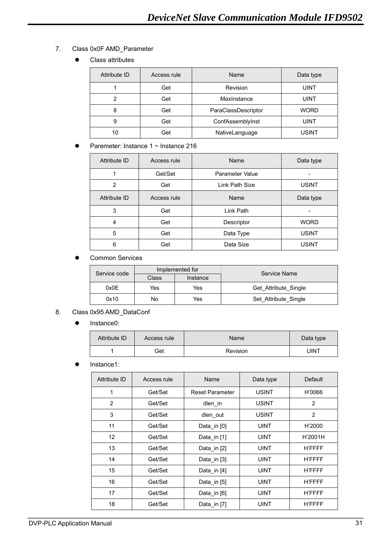- 7. Class 0x0F AMD\_Parameter
	- Class attributes

| Attribute ID | Access rule | Name                | Data type    |
|--------------|-------------|---------------------|--------------|
|              | Get         | Revision            | UINT         |
| ◠            | Get         | MaxInstance         | UINT         |
| 8            | Get         | ParaClassDescriptor | <b>WORD</b>  |
| 9            | Get         | ConfAssemblyInst    | UINT         |
| 10           | Get         | NativeLanguage      | <b>USINT</b> |

Paremeter: Instance 1 ~ Instance 216

| Attribute ID | Access rule | Name            | Data type    |
|--------------|-------------|-----------------|--------------|
|              | Get/Set     | Parameter Value |              |
| 2            | Get         | Link Path Size  | <b>USINT</b> |
| Attribute ID | Access rule | Name            | Data type    |
| 3            | Get         | Link Path       |              |
| 4            | Get         | Descriptor      | <b>WORD</b>  |
| 5            | Get         | Data Type       | <b>USINT</b> |
| 6            | Get         | Data Size       | <b>USINT</b> |

**•** Common Services

| Service code | Implemented for |          | Service Name         |  |
|--------------|-----------------|----------|----------------------|--|
|              | Class           | Instance |                      |  |
| 0x0E         | Yes             | Yes      | Get Attribute Single |  |
| 0x10         | No              | Yes      | Set Attribute Single |  |

#### 8. Class 0x95 AMD\_DataConf

• Instance0:

| Attribute ID | Access rule | <b>Name</b> | Data type |
|--------------|-------------|-------------|-----------|
|              | Get         | Revision    | JINT      |

• Instance1:

| Attribute ID | Access rule | Name                   | Data type    | Default       |
|--------------|-------------|------------------------|--------------|---------------|
| 1            | Get/Set     | <b>Reset Parameter</b> | <b>USINT</b> | H'0066        |
| 2            | Get/Set     | dlen in                | <b>USINT</b> | 2             |
| 3            | Get/Set     | dlen_out               | <b>USINT</b> | 2             |
| 11           | Get/Set     | Data_in [0]            | <b>UINT</b>  | H'2000        |
| 12           | Get/Set     | Data_in [1]            | <b>UINT</b>  | H'2001H       |
| 13           | Get/Set     | Data_in [2]            | <b>UINT</b>  | <b>H'FFFF</b> |
| 14           | Get/Set     | Data_in [3]            | <b>UINT</b>  | <b>H'FFFF</b> |
| 15           | Get/Set     | Data_in [4]            | <b>UINT</b>  | <b>H'FFFF</b> |
| 16           | Get/Set     | Data_in [5]            | <b>UINT</b>  | <b>H'FFFF</b> |
| 17           | Get/Set     | Data_in [6]            | <b>UINT</b>  | <b>H'FFFF</b> |
| 18           | Get/Set     | Data_in [7]            | <b>UINT</b>  | <b>H'FFFF</b> |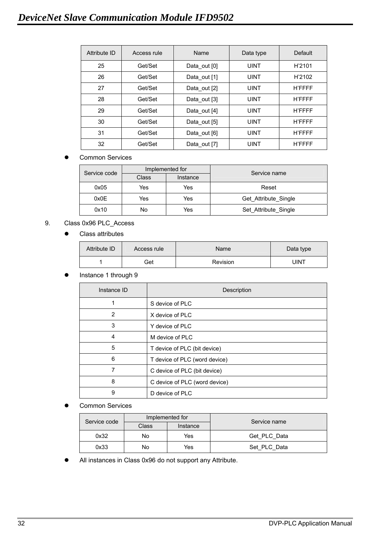| Attribute ID | Access rule | Name         | Data type   | <b>Default</b> |
|--------------|-------------|--------------|-------------|----------------|
| 25           | Get/Set     | Data out [0] | <b>UINT</b> | H'2101         |
| 26           | Get/Set     | Data_out [1] | <b>UINT</b> | H'2102         |
| 27           | Get/Set     | Data out [2] | <b>UINT</b> | <b>H'FFFF</b>  |
| 28           | Get/Set     | Data out [3] | <b>UINT</b> | <b>H'FFFF</b>  |
| 29           | Get/Set     | Data out [4] | <b>UINT</b> | <b>H'FFFF</b>  |
| 30           | Get/Set     | Data out [5] | <b>UINT</b> | <b>H'FFFF</b>  |
| 31           | Get/Set     | Data out [6] | <b>UINT</b> | <b>H'FFFF</b>  |
| 32           | Get/Set     | Data out [7] | <b>UINT</b> | <b>H'FFFF</b>  |

| Service code | Implemented for |          | Service name         |  |
|--------------|-----------------|----------|----------------------|--|
|              | Class           | Instance |                      |  |
| 0x05         | Yes             | Yes      | Reset                |  |
| 0x0E         | Yes             | Yes      | Get Attribute Single |  |
| 0x10         | No              | Yes      | Set Attribute_Single |  |

## 9. Class 0x96 PLC\_Access

• Class attributes

| Attribute ID | Access rule | Name     | Data type |
|--------------|-------------|----------|-----------|
|              | Get         | Revision | JINT      |

#### Instance 1 through 9

| Instance ID | Description                   |
|-------------|-------------------------------|
|             | S device of PLC               |
| 2           | X device of PLC               |
| 3           | Y device of PLC               |
| 4           | M device of PLC               |
| 5           | T device of PLC (bit device)  |
| 6           | T device of PLC (word device) |
| 7           | C device of PLC (bit device)  |
| 8           | C device of PLC (word device) |
| 9           | D device of PLC               |

Common Services

|  | Service code | Implemented for |          | Service name |  |
|--|--------------|-----------------|----------|--------------|--|
|  |              | Class           | Instance |              |  |
|  | 0x32         | No              | Yes      | Get PLC Data |  |
|  | 0x33         | No              | Yes      | Set PLC Data |  |

All instances in Class 0x96 do not support any Attribute.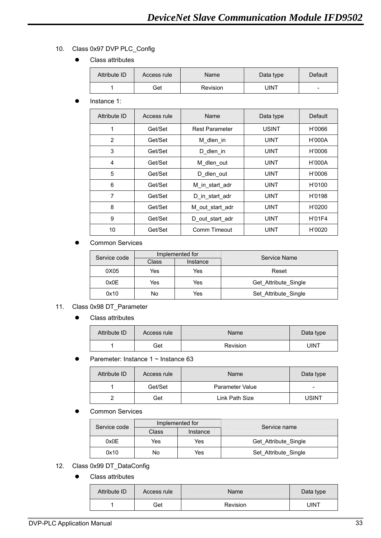## 10. Class 0x97 DVP PLC\_Config

• Class attributes

| Attribute ID | Access rule | Name     | Data type | Default |
|--------------|-------------|----------|-----------|---------|
|              | Get         | Revision | UINT      | -       |

Instance 1:

| Attribute ID   | Access rule | Name                  | Data type    | Default |
|----------------|-------------|-----------------------|--------------|---------|
| 1              | Get/Set     | <b>Rest Parameter</b> | <b>USINT</b> | H'0066  |
| $\overline{2}$ | Get/Set     | M dlen in             | <b>UINT</b>  | H'000A  |
| 3              | Get/Set     | D dlen in             | <b>UINT</b>  | H'0006  |
| 4              | Get/Set     | M_dlen_out            | <b>UINT</b>  | H'000A  |
| 5              | Get/Set     | D dlen_out            | <b>UINT</b>  | H'0006  |
| 6              | Get/Set     | M in start adr        | <b>UINT</b>  | H'0100  |
| 7              | Get/Set     | D in start adr        | <b>UINT</b>  | H'0198  |
| 8              | Get/Set     | M out start adr       | <b>UINT</b>  | H'0200  |
| 9              | Get/Set     | D out start adr       | <b>UINT</b>  | H'01F4  |
| 10             | Get/Set     | Comm Timeout          | <b>UINT</b>  | H'0020  |

**Common Services** 

| Service code | Implemented for |          | Service Name         |  |
|--------------|-----------------|----------|----------------------|--|
|              | Class           | Instance |                      |  |
| 0X05         | Yes             | Yes      | Reset                |  |
| 0x0E         | Yes             | Yes      | Get Attribute_Single |  |
| 0x10         | No              | Yes      | Set Attribute Single |  |

- 11. Class 0x98 DT\_Parameter
	- Class attributes

| Attribute ID | Access rule | Name     | Data type |
|--------------|-------------|----------|-----------|
|              | Get         | Revision | UINT      |

• Paremeter: Instance  $1 \sim$  Instance 63

| Attribute ID | Access rule | Name            | Data type                |
|--------------|-------------|-----------------|--------------------------|
|              | Get/Set     | Parameter Value | $\overline{\phantom{0}}$ |
|              | Get         | Link Path Size  | <b>USINT</b>             |

**Common Services** 

| Service code | Implemented for |          | Service name         |  |
|--------------|-----------------|----------|----------------------|--|
|              | Class           | Instance |                      |  |
| 0x0E         | Yes             | Yes      | Get Attribute Single |  |
| 0x10         | No              | Yes      | Set Attribute Single |  |

## 12. Class 0x99 DT\_DataConfig

• Class attributes

| Attribute ID | Access rule | <b>Name</b> | Data type |
|--------------|-------------|-------------|-----------|
|              | Get         | Revision    | UINT      |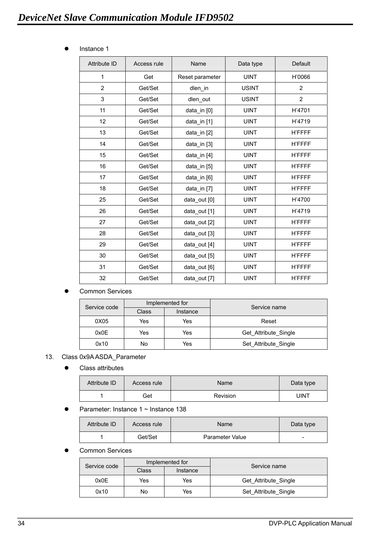**•** Instance 1

| <b>Attribute ID</b> | Access rule | Name            | Data type    | Default        |
|---------------------|-------------|-----------------|--------------|----------------|
| $\mathbf{1}$        | Get         | Reset parameter | <b>UINT</b>  | H'0066         |
| $\overline{2}$      | Get/Set     | dlen_in         | <b>USINT</b> | 2              |
| 3                   | Get/Set     | dlen_out        | <b>USINT</b> | $\overline{2}$ |
| 11                  | Get/Set     | data_in [0]     | <b>UINT</b>  | H'4701         |
| 12                  | Get/Set     | data in $[1]$   | <b>UINT</b>  | H'4719         |
| 13                  | Get/Set     | data_in [2]     | <b>UINT</b>  | <b>H'FFFF</b>  |
| 14                  | Get/Set     | data_in [3]     | <b>UINT</b>  | <b>H'FFFF</b>  |
| 15                  | Get/Set     | data_in [4]     | <b>UINT</b>  | <b>H'FFFF</b>  |
| 16                  | Get/Set     | data_in [5]     | <b>UINT</b>  | <b>H'FFFF</b>  |
| 17                  | Get/Set     | data_in [6]     | <b>UINT</b>  | <b>H'FFFF</b>  |
| 18                  | Get/Set     | data_in [7]     | <b>UINT</b>  | <b>H'FFFF</b>  |
| 25                  | Get/Set     | data out [0]    | <b>UINT</b>  | H'4700         |
| 26                  | Get/Set     | data_out [1]    | <b>UINT</b>  | H'4719         |
| 27                  | Get/Set     | data out $[2]$  | <b>UINT</b>  | <b>H'FFFF</b>  |
| 28                  | Get/Set     | data_out [3]    | <b>UINT</b>  | <b>H'FFFF</b>  |
| 29                  | Get/Set     | data_out [4]    | <b>UINT</b>  | <b>H'FFFF</b>  |
| 30                  | Get/Set     | data_out [5]    | <b>UINT</b>  | <b>H'FFFF</b>  |
| 31                  | Get/Set     | data_out [6]    | <b>UINT</b>  | <b>H'FFFF</b>  |
| 32                  | Get/Set     | data out [7]    | <b>UINT</b>  | <b>H'FFFF</b>  |

#### **Common Services**

| Service code | Implemented for |          | Service name         |
|--------------|-----------------|----------|----------------------|
|              | Class           | Instance |                      |
| 0X05         | Yes             | Yes      | Reset                |
| 0x0E         | Yes             | Yes      | Get Attribute Single |
| 0x10         | No              | Yes      | Set Attribute Single |

#### 13. Class 0x9A ASDA\_Parameter

• Class attributes

| Attribute ID | Access rule | Name     | Data type |
|--------------|-------------|----------|-----------|
|              | Get         | Revision | UINT      |

#### • Parameter: Instance  $1 \sim$  Instance 138

| Attribute ID | Access rule | Name            | Data type                |
|--------------|-------------|-----------------|--------------------------|
|              | Get/Set     | Parameter Value | $\overline{\phantom{0}}$ |

#### **Common Services**

| Service code | Implemented for |          | Service name         |  |
|--------------|-----------------|----------|----------------------|--|
|              | Class           | Instance |                      |  |
| 0x0E         | Yes             | Yes      | Get Attribute Single |  |
| 0x10         | No              | Yes      | Set Attribute Single |  |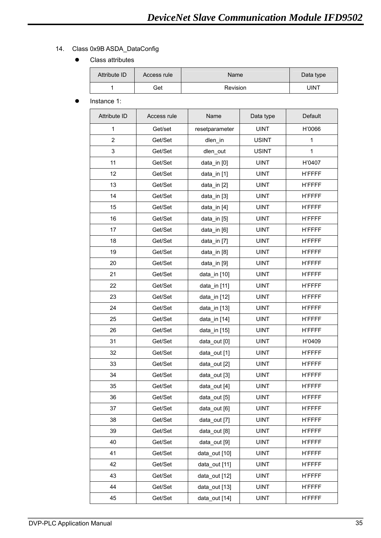## 14. Class 0x9B ASDA\_DataConfig

• Class attributes

| Attribute ID | Access rule | Name     | Data type |
|--------------|-------------|----------|-----------|
|              | Get         | Revision | UINT      |

Instance 1:

| Attribute ID   | Access rule | Name           | Data type    | Default       |
|----------------|-------------|----------------|--------------|---------------|
| $\mathbf{1}$   | Get/set     | resetparameter | <b>UINT</b>  | H'0066        |
| $\overline{2}$ | Get/Set     | dlen_in        | <b>USINT</b> | $\mathbf{1}$  |
| 3              | Get/Set     | dlen_out       | <b>USINT</b> | $\mathbf{1}$  |
| 11             | Get/Set     | data_in [0]    | <b>UINT</b>  | H'0407        |
| 12             | Get/Set     | data_in [1]    | <b>UINT</b>  | <b>H'FFFF</b> |
| 13             | Get/Set     | data_in [2]    | <b>UINT</b>  | <b>H'FFFF</b> |
| 14             | Get/Set     | data_in [3]    | <b>UINT</b>  | <b>H'FFFF</b> |
| 15             | Get/Set     | data_in [4]    | <b>UINT</b>  | <b>H'FFFF</b> |
| 16             | Get/Set     | data_in [5]    | <b>UINT</b>  | <b>H'FFFF</b> |
| 17             | Get/Set     | data_in [6]    | <b>UINT</b>  | <b>H'FFFF</b> |
| 18             | Get/Set     | data_in [7]    | <b>UINT</b>  | <b>H'FFFF</b> |
| 19             | Get/Set     | data_in [8]    | <b>UINT</b>  | <b>H'FFFF</b> |
| 20             | Get/Set     | data_in [9]    | <b>UINT</b>  | <b>H'FFFF</b> |
| 21             | Get/Set     | data_in [10]   | <b>UINT</b>  | <b>H'FFFF</b> |
| 22             | Get/Set     | data_in [11]   | <b>UINT</b>  | <b>H'FFFF</b> |
| 23             | Get/Set     | data_in [12]   | <b>UINT</b>  | <b>H'FFFF</b> |
| 24             | Get/Set     | data_in [13]   | <b>UINT</b>  | <b>H'FFFF</b> |
| 25             | Get/Set     | data_in [14]   | <b>UINT</b>  | <b>H'FFFF</b> |
| 26             | Get/Set     | data_in [15]   | <b>UINT</b>  | <b>H'FFFF</b> |
| 31             | Get/Set     | data_out [0]   | <b>UINT</b>  | H'0409        |
| 32             | Get/Set     | data_out [1]   | <b>UINT</b>  | <b>H'FFFF</b> |
| 33             | Get/Set     | data_out [2]   | <b>UINT</b>  | <b>H'FFFF</b> |
| 34             | Get/Set     | data out [3]   | <b>UINT</b>  | <b>H'FFFF</b> |
| 35             | Get/Set     | data out [4]   | <b>UINT</b>  | <b>H'FFFF</b> |
| 36             | Get/Set     | data out [5]   | <b>UINT</b>  | <b>H'FFFF</b> |
| 37             | Get/Set     | data_out [6]   | <b>UINT</b>  | <b>H'FFFF</b> |
| 38             | Get/Set     | data out [7]   | <b>UINT</b>  | <b>H'FFFF</b> |
| 39             | Get/Set     | data_out [8]   | <b>UINT</b>  | <b>H'FFFF</b> |
| 40             | Get/Set     | data out [9]   | <b>UINT</b>  | <b>H'FFFF</b> |
| 41             | Get/Set     | data_out [10]  | <b>UINT</b>  | <b>H'FFFF</b> |
| 42             | Get/Set     | data out [11]  | <b>UINT</b>  | <b>H'FFFF</b> |
| 43             | Get/Set     | data out [12]  | <b>UINT</b>  | <b>H'FFFF</b> |
| 44             | Get/Set     | data_out [13]  | <b>UINT</b>  | <b>H'FFFF</b> |
| 45             | Get/Set     | data_out [14]  | <b>UINT</b>  | <b>H'FFFF</b> |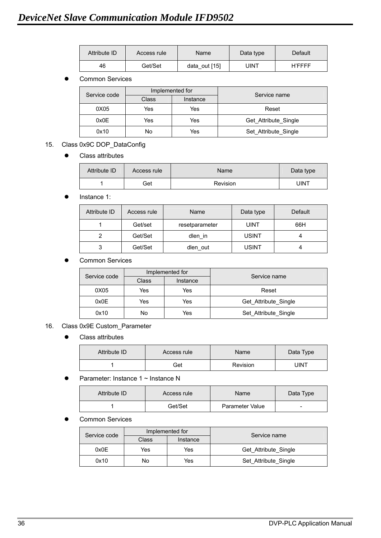| Attribute ID | Access rule | Name          | Data type | Default       |
|--------------|-------------|---------------|-----------|---------------|
| 46           | Get/Set     | data out [15] | JINT      | <b>H'FFFF</b> |

| Service code | Implemented for |          | Service name         |  |
|--------------|-----------------|----------|----------------------|--|
|              | <b>Class</b>    | Instance |                      |  |
| 0X05         | Yes             | Yes      | Reset                |  |
| 0x0E         | Yes             | Yes      | Get Attribute Single |  |
| 0x10         | No              | Yes      | Set Attribute Single |  |

## 15. Class 0x9C DOP\_DataConfig

#### • Class attributes

| Attribute ID | Access rule | Name     | Data type |
|--------------|-------------|----------|-----------|
|              | Get         | Revision | UINT      |

#### Instance 1:

| Attribute ID | Access rule | Name           | Data type    | Default |
|--------------|-------------|----------------|--------------|---------|
|              | Get/set     | resetparameter | <b>UINT</b>  | 66H     |
|              | Get/Set     | dlen in        | <b>USINT</b> |         |
| 3            | Get/Set     | dlen out       | <b>USINT</b> |         |

#### **Common Services**

| Service code | Implemented for |          | Service name         |
|--------------|-----------------|----------|----------------------|
|              | Class           | Instance |                      |
| 0X05         | Yes             | Yes      | Reset                |
| 0x0E         | Yes             | Yes      | Get Attribute Single |
| 0x10         | No              | Yes      | Set Attribute Single |

#### 16. Class 0x9E Custom\_Parameter

• Class attributes

| Attribute ID | Access rule | Name     | Data Type |
|--------------|-------------|----------|-----------|
|              | Get         | Revision | JINT      |

#### Parameter: Instance 1 ~ Instance N

| Attribute ID | Access rule | Name            | Data Type |
|--------------|-------------|-----------------|-----------|
|              | Get/Set     | Parameter Value |           |

#### Common Services

| Service code |       | Implemented for | Service name         |  |
|--------------|-------|-----------------|----------------------|--|
|              | Class | Instance        |                      |  |
| 0x0E         | Yes   | Yes             | Get Attribute Single |  |
| 0x10         | No    | Yes             | Set Attribute Single |  |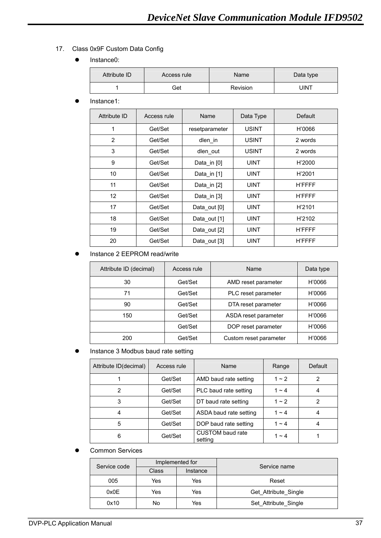## 17. Class 0x9F Custom Data Config

• Instance0:

| Attribute ID | Access rule | <b>Name</b> | Data type |
|--------------|-------------|-------------|-----------|
|              | Get         | Revision    | UINT      |

Instance1:

| Attribute ID    | Access rule | Name           | Data Type    | Default       |
|-----------------|-------------|----------------|--------------|---------------|
| $\mathbf{1}$    | Get/Set     | resetparameter | <b>USINT</b> | H'0066        |
| 2               | Get/Set     | dlen_in        | <b>USINT</b> | 2 words       |
| 3               | Get/Set     | dlen_out       | <b>USINT</b> | 2 words       |
| 9               | Get/Set     | Data_in [0]    | <b>UINT</b>  | H'2000        |
| 10              | Get/Set     | Data in $[1]$  | <b>UINT</b>  | H'2001        |
| 11              | Get/Set     | Data in [2]    | <b>UINT</b>  | <b>H'FFFF</b> |
| 12 <sup>°</sup> | Get/Set     | Data in [3]    | <b>UINT</b>  | <b>H'FFFF</b> |
| 17              | Get/Set     | Data out [0]   | <b>UINT</b>  | H'2101        |
| 18              | Get/Set     | Data out [1]   | <b>UINT</b>  | H'2102        |
| 19              | Get/Set     | Data out [2]   | <b>UINT</b>  | <b>H'FFFF</b> |
| 20              | Get/Set     | Data out [3]   | <b>UINT</b>  | <b>H'FFFF</b> |

#### Instance 2 EEPROM read/write

| Attribute ID (decimal) | Access rule | Name                   | Data type |
|------------------------|-------------|------------------------|-----------|
| 30                     | Get/Set     | AMD reset parameter    | H'0066    |
| 71                     | Get/Set     | PLC reset parameter    | H'0066    |
| 90                     | Get/Set     | DTA reset parameter    | H'0066    |
| 150                    | Get/Set     | ASDA reset parameter   | H'0066    |
|                        | Get/Set     | DOP reset parameter    | H'0066    |
| 200                    | Get/Set     | Custom reset parameter | H'0066    |

#### **•** Instance 3 Modbus baud rate setting

| Attribute ID(decimal) | Access rule<br><b>Name</b>       |                                    | Range      | Default |
|-----------------------|----------------------------------|------------------------------------|------------|---------|
|                       | AMD baud rate setting<br>Get/Set |                                    | $1 - 2$    |         |
| 2                     | Get/Set                          | PLC baud rate setting              | $1 - 4$    |         |
| 3                     | Get/Set                          | DT baud rate setting               | $1 \sim 2$ | 2       |
| 4                     | Get/Set                          | ASDA baud rate setting             | $1 - 4$    |         |
| 5                     | Get/Set                          | DOP baud rate setting              | $1 - 4$    |         |
| 6                     | Get/Set                          | <b>CUSTOM</b> baud rate<br>setting | 1 $\sim$ 4 |         |

#### **Common Services**

| Service code | Implemented for |          | Service name         |  |
|--------------|-----------------|----------|----------------------|--|
|              | Class           | Instance |                      |  |
| 005          | Yes             | Yes      | Reset                |  |
| 0x0E         | Yes             | Yes      | Get Attribute Single |  |
| 0x10         | No              | Yes      | Set Attribute Single |  |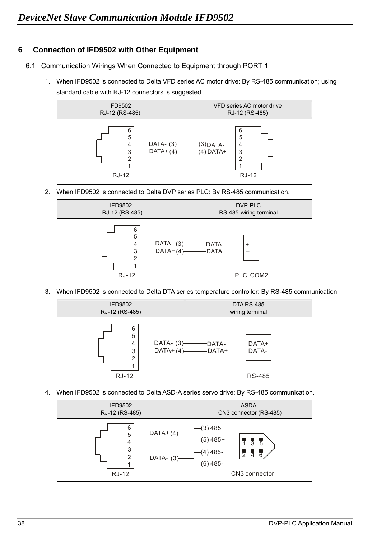## **6 Connection of IFD9502 with Other Equipment**

- 6.1 Communication Wirings When Connected to Equipment through PORT 1
	- 1. When IFD9502 is connected to Delta VFD series AC motor drive: By RS-485 communication; using standard cable with RJ-12 connectors is suggested.



2. When IFD9502 is connected to Delta DVP series PLC: By RS-485 communication.



3. When IFD9502 is connected to Delta DTA series temperature controller: By RS-485 communication.



4. When IFD9502 is connected to Delta ASD-A series servo drive: By RS-485 communication.

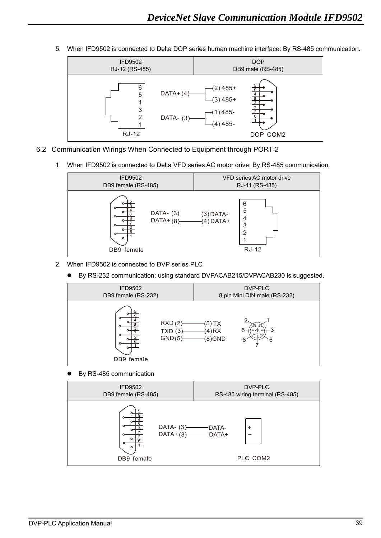5. When IFD9502 is connected to Delta DOP series human machine interface: By RS-485 communication.



- 6.2 Communication Wirings When Connected to Equipment through PORT 2
	- 1. When IFD9502 is connected to Delta VFD series AC motor drive: By RS-485 communication.



- 2. When IFD9502 is connected to DVP series PLC
	- By RS-232 communication; using standard DVPACAB215/DVPACAB230 is suggested.



By RS-485 communication

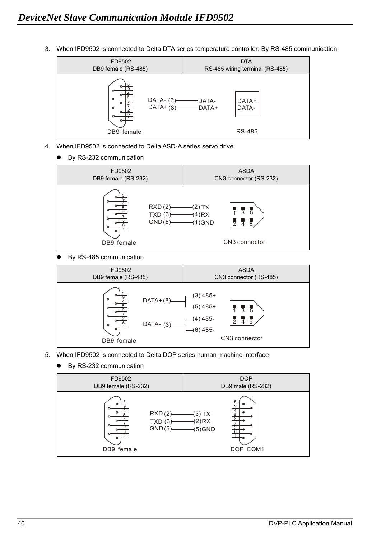3. When IFD9502 is connected to Delta DTA series temperature controller: By RS-485 communication.



- 4. When IFD9502 is connected to Delta ASD-A series servo drive
	- By RS-232 communication



By RS-485 communication



- 5. When IFD9502 is connected to Delta DOP series human machine interface
	- By RS-232 communication